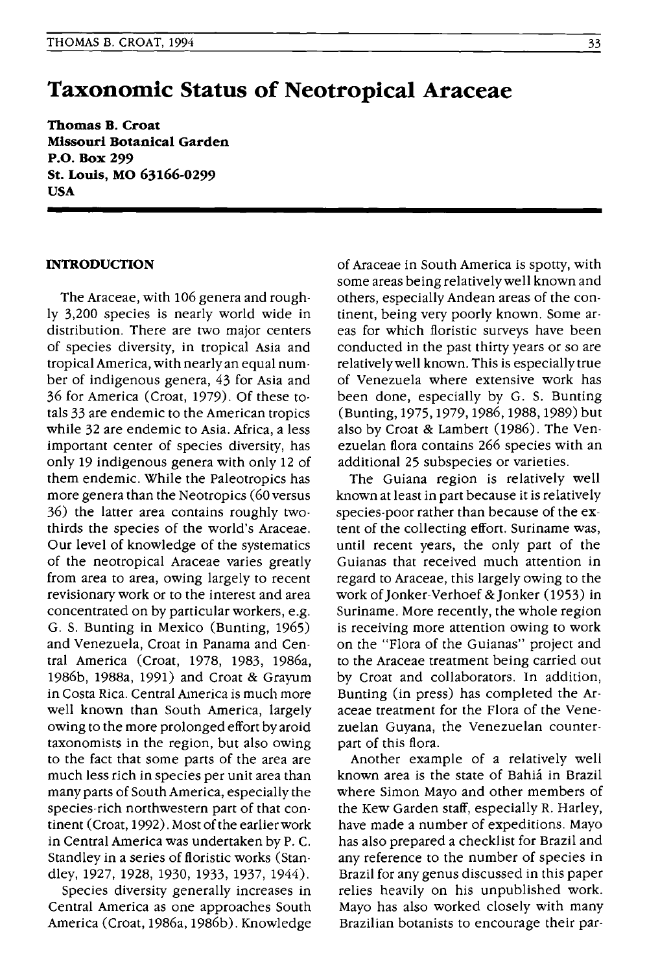# **Taxonomic Status of Neotropical Araceae**

**Thomas B. Croat Missouri Botanical Garden P.O. Box 299 St. Louis, MO 63166-0299 USA** 

## **INTRODUCTION**

The Araceae, with 106 genera and roughly 3,200 species is nearly world wide in distribution. There are two major centers of species diversity, in tropical Asia and tropical America, with nearly an equal number of indigenous genera, 43 for Asia and 36 for America (Croat, 1979). Of these totals 33 are endemic to the American tropics while 32 are endemic to Asia. Africa, a less important center of species diversity, has only 19 indigenous genera with only 12 of them endemic. While the Paleotropics has more genera than the Neotropics (60 versus 36) the latter area contains roughly twothirds the species of the world's Araceae. Our level of knowledge of the systematics of the neotropical Araceae varies greatly from area to area, owing largely to recent revisionary work or to the interest and area concentrated on by particular workers, e.g. G. S. Bunting in Mexico (Bunting, 1965) and Venezuela, Croat in Panama and Central America (Croat, 1978, 1983, 1986a, 1986b, 1988a, 1991) and Croat & Grayum in Costa Rica. Central America is much more well known than South America, largely owing to the more prolonged effort byaroid taxonomists in the region, but also owing to the fact that some parts of the area are much less rich in species per unit area than many parts of South America, especially the species-rich northwestern part of that continent (Croat, 1992). Most of the earlier work in Central America was undertaken by P. C. Standley in a series of floristic works (Standley, 1927, 1928, 1930, 1933, 1937, 1944).

Species diversity generally increases in Central America as one approaches South America (Croat, 1986a, 1986b). Knowledge of Araceae in South America is spotty, with some areas being relatively well known and others, especially Andean areas of the continent, being very poorly known. Some areas for which floristic surveys have been conducted in the past thirty years or so are relatively well known. This is especially true of Venezuela where extensive work has been done, especially by G. S. Bunting (Bunting, 1975, 1979, 1986, 1988, 1989) but also by Croat & Lambert (1986). The Venezuelan flora contains 266 species with an additional 25 subspecies or varieties.

The Guiana region is relatively well known at least in part because it is relatively species-poor rather than because of the extent of the collecting effort. Suriname was, until recent years, the only part of the Guianas that received much attention in regard to Araceae, this largely owing to the work of Jonker-Verhoef &Jonker (1953) in Suriname. More recently, the whole region is receiving more attention owing to work on the "Flora of the Guianas" project and to the Araceae treatment being carried out by Croat and collaborators. In addition, Bunting (in press) has completed the Araceae treatment for the Flora of the Venezuelan Guyana, the Venezuelan counterpart of this flora.

Another example of a relatively well known area is the state of Bahia in Brazil where Simon Mayo and other members of the Kew Garden staff, especially R. Harley, have made a number of expeditions. Mayo has also prepared a checklist for Brazil and any reference to the number of species in Brazil for any genus discussed in this paper relies heavily on his unpublished work. Mayo has also worked closely with many Brazilian botanists to encourage their par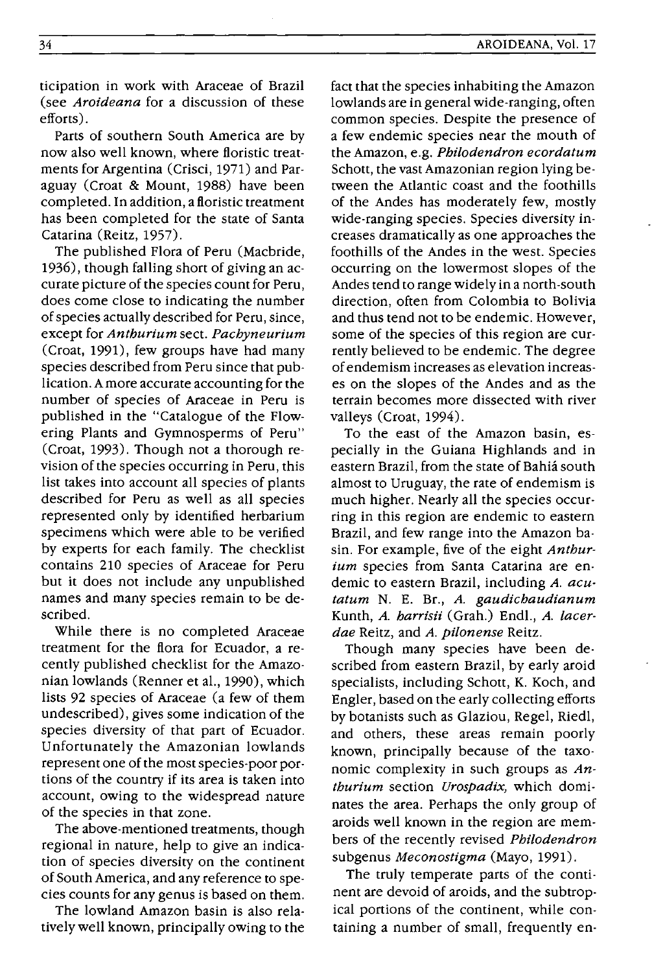ticipation in work with Araceae of Brazil (see *Aroideana* for a discussion of these efforts) .

Parts of southern South America are by now also well known, where floristic treatments for Argentina (Crisci, 1971) and Paraguay (Croat & Mount, 1988) have been completed. In addition, a floristic treatment has been completed for the state of Santa Catarina (Reitz, 1957).

The published Flora of Peru (Macbride, 1936), though falling short of giving an accurate picture of the species count for Peru, does come close to indicating the number of species actually described for Peru, since, except for *Anthurium* sect. *Pachyneurium*  (Croat, 1991), few groups have had many species described from Peru since that publication. A more accurate accounting for the number of species of Araceae in Peru is published in the "Catalogue of the Flowering Plants and Gymnosperms of Peru" (Croat, 1993). Though not a thorough revision of the species occurring in Peru, this list takes into account all species of plants described for Peru as well as all species represented only by identified herbarium specimens which were able to be verified by experts for each family. The checklist contains 210 species of Araceae for Peru but it does not include any unpublished names and many species remain to be described.

While there is no completed Araceae treatment for the flora for Ecuador, a recently published checklist for the Amazonian lowlands (Renner et al., 1990), which lists 92 species of Araceae (a few of them undescribed), gives some indication of the species diversity of that part of Ecuador. Unfortunately the Amazonian lowlands represent one of the most species-poor portions of the country if its area is taken into account, owing to the widespread nature of the species in that zone.

The above-mentioned treatments, though regional in nature, help to give an indication of species diversity on the continent of South America, and any reference to species counts for any genus is based on them.

The lowland Amazon basin is also relatively well known, principally owing to the fact that the species inhabiting the Amazon lowlands are in general wide-ranging, often common species. Despite the presence of a few endemic species near the mouth of the Amazon, e.g. *Philodendron ecordatum*  Schott, the vast Amazonian region lying between the Atlantic coast and the foothills of the Andes has moderately few, mostly Wide-ranging species. Species diversity increases dramatically as one approaches the foothills of the Andes in the west. Species occurring on the lowermost slopes of the Andes tend to range widely in a north-south direction, often from Colombia to Bolivia and thus tend not to be endemic. However, some of the species of this region are currently believed to be endemic. The degree of endemism increases as elevation increases on the slopes of the Andes and as the terrain becomes more dissected with river valleys (Croat, 1994).

To the east of the Amazon basin, especially in the Guiana Highlands and in eastern Brazil, from the state of Bahia south almost to Uruguay, the rate of endemism is much higher. Nearly all the species occurring in this region are endemic to eastern Brazil, and few range into the Amazon basin. For example, five of the eight *Anthurium* species from Santa Catarina are endemic to eastern Brazil, including *A. acutatum* N. E. Br., *A. gaudichaudianum*  Kunth, *A. harrisii* (Grah.) Endl., *A. lacerdae* Reitz, and *A. pilonense* Reitz.

Though many species have been described from eastern Brazil, by early aroid specialists, including Schott, K. Koch, and Engler, based on the early collecting efforts by botanists such as Glaziou, Regel, Riedl, and others, these areas remain poorly known, principally because of the taxonomic complexity in such groups as *Anthurium* section *Urospadix,* which dominates the area. Perhaps the only group of aroids well known in the region are members of the recently revised *Philodendron*  subgenus *Meconostigma* (Mayo, 1991).

The truly temperate parts of the continent are devoid of aroids, and the subtropical portions of the continent, while containing a number of small, frequently en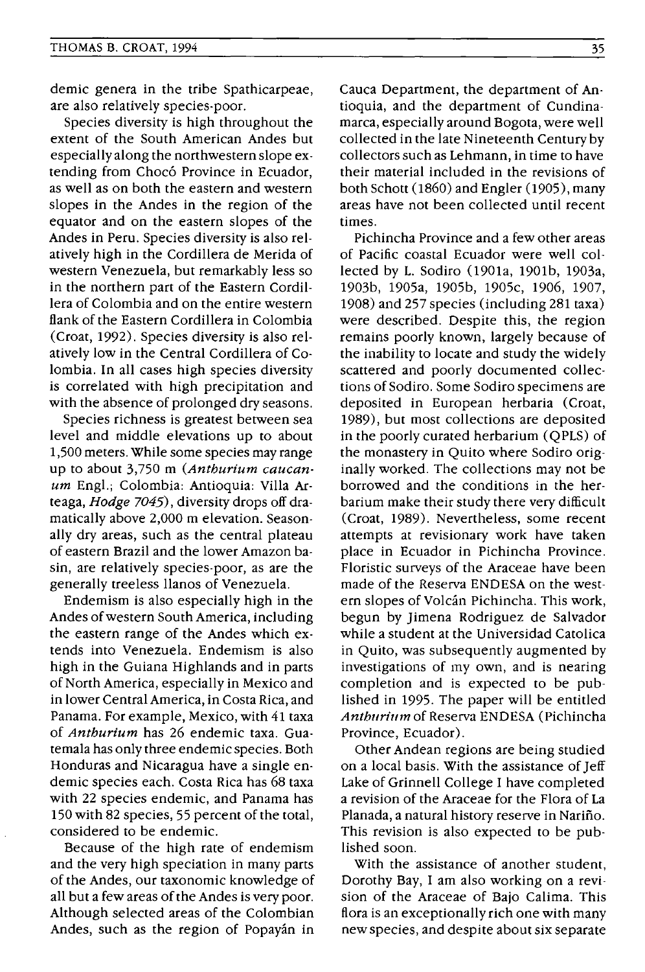demic genera in the tribe Spathicarpeae, are also relatively species-poor.

Species diversity is high throughout the extent of the South American Andes but especially along the northwestern slope extending from Chocó Province in Ecuador, as well as on both the eastern and western slopes in the Andes in the region of the equator and on the eastern slopes of the Andes in Peru. Species diversity is also relatively high in the Cordillera de Merida of western Venezuela, but remarkably less so in the northern part of the Eastern Cordillera of Colombia and on the entire western flank of the Eastern Cordillera in Colombia (Croat, 1992). Species diversity is also relatively low in the Central Cordillera of Colombia. In all cases high species diversity is correlated with high precipitation and with the absence of prolonged dry seasons.

Species richness is greatest between sea level and middle elevations up to about 1,500 meters. While some species may range up to about 3,750 m (Anthurium caucanum Engl.; Colombia: Antioquia: Villa Arteaga, Hodge 7045), diversity drops off dramatically above 2,000 m elevation. Seasonally dry areas, such as the central plateau of eastern Brazil and the lower Amazon basin, are relatively species-poor, as are the generally treeless llanos of Venezuela.

Endemism is also especially high in the Andes of western South America, including the eastern range of the Andes which extends into Venezuela. Endemism is also high in the Guiana Highlands and in parts of North America, especially in Mexico and in lower Central America, in Costa Rica, and Panama. For example, Mexico, with 41 taxa of Anthurium has 26 endemic taxa. Guatemala has only three endemic species. Both Honduras and Nicaragua have a single endemic species each. Costa Rica has 68 taxa with 22 species endemic, and Panama has 150 with 82 species, 55 percent of the total, considered to be endemic.

Because of the high rate of endemism and the very high speciation in many parts of the Andes, our taxonomic knowledge of all but a few areas of the Andes is very poor. Although selected areas of the Colombian Andes, such as the region of Popayan in Cauca Department, the department of Antioquia, and the department of Cundinamarca, especially around Bogota, were well collected in the late Nineteenth Century by collectors such as Lehmann, in time to have their material included in the revisions of both Schott (1860) and Engler (1905), many areas have not been collected until recent times.

Pichincha Province and a few other areas of Pacific coastal Ecuador were well collected by L. Sodiro (1901a, 1901b, 1903a, 1903b, 1905a, 1905b, 1905c, 1906, 1907, 1908) and 257 species (including 281 taxa) were described. Despite this, the region remains poorly known, largely because of the inability to locate and study the widely scattered and poorly documented collections of Sodiro. Some Sodiro specimens are deposited in European herbaria (Croat, 1989), but most collections are deposited in the poorly curated herbarium (QPLS) of the monastery in Quito where Sodiro originally worked. The collections may not be borrowed and the conditions in the herbarium make their study there very difficult (Croat, 1989). Nevertheless, some recent attempts at revisionary work have taken place in Ecuador in Pichincha Province. Floristic surveys of the Araceae have been made of the Reserva ENDESA on the western slopes of Volcán Pichincha. This work, begun by Jimena Rodriguez de Salvador while a student at the Universidad Catolica in Quito, was subsequently augmented by investigations of my own, and is nearing completion and is expected to be published in 1995. The paper will be entitled Anthurium of Reserva ENDESA (Pichincha Province, Ecuador).

Other Andean regions are being studied on a local basis. With the assistance of Jeff Lake of Grinnell College I have completed a revision of the Araceae for the Flora of La Planada, a natural history reserve in Nariño. This revision is also expected to be published soon.

With the assistance of another student, Dorothy Bay, I am also working on a revision of the Araceae of Bajo Calima. This flora is an exceptionally rich one with many new species, and despite about six separate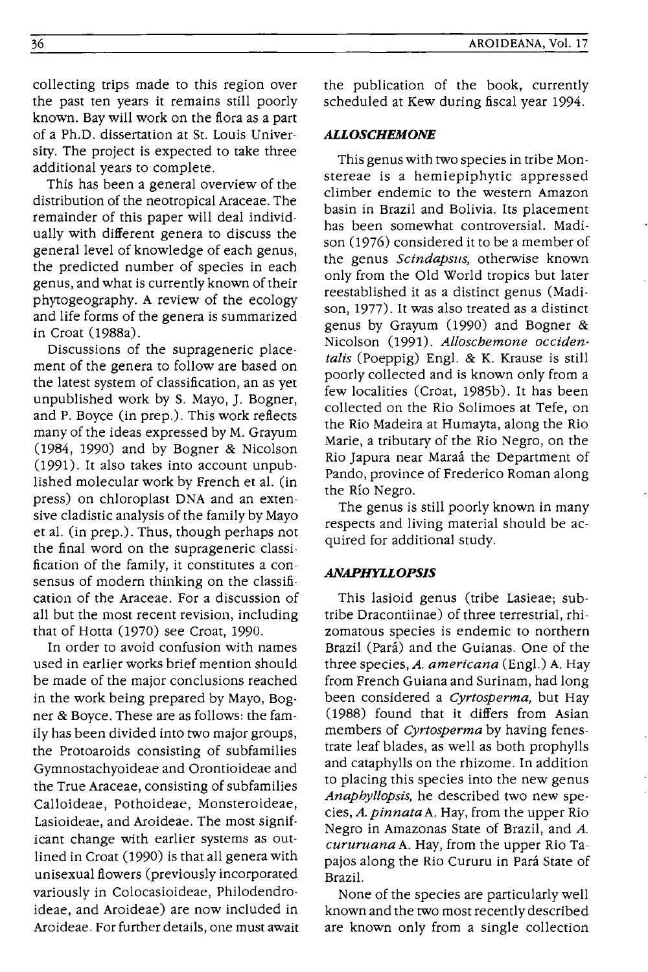collecting trips made to this region over the past ten years it remains still poorly known. Bay will work on the flora as a part of a Ph.D. dissertation at St. Louis University. The project is expected to take three additional years to complete.

This has been a general overview of the distribution of the neotropical Araceae. The remainder of this paper will deal individually with different genera to discuss the general level of knowledge of each genus, the predicted number of species in each genus, and what is currently known of their phytogeography. A review of the ecology and life forms of the genera is summarized in Croat (1988a).

Discussions of the suprageneric placement of the genera to follow are based on the latest system of classification, an as yet unpublished work by S. Mayo, ). Bogner, and P. Boyce (in prep.). This work reflects many of the ideas expressed by M. Grayum (1984, 1990) and by Bogner & Nicolson (1991). It also takes into account unpublished molecular work by French et al. (in press) on chloroplast DNA and an extensive cladistic analysis of the family by Mavo et al. (in prep.). Thus, though perhaps not the final word on the suprageneric classification of the family, it constitutes a consensus of modern thinking on the classification of the Araceae. For a discussion of all but the most recent revision, including that of Hotta (1970) see Croat, 1990.

In order to avoid confusion with names used in earlier works brief mention should be made of the major conclusions reached in the work being prepared by Mayo, Bogner & Boyce. These are as follows: the family has been divided into two major groups, the Protoaroids consisting of subfamilies Gymnostachyoideae and Orontioideae and the True Araceae, consisting of subfamilies Calloideae, Pothoideae, Monsteroideae, Lasioideae, and Aroideae. The most significant change with earlier systems as outlined in Croat (1990) is that all genera with unisexual flowers (previously incorporated variously in Colocasioideae, Philodendroideae, and Aroideae) are now included in Aroideae. For further details, one must await the publication of the book, currently scheduled at Kew during fiscal year 1994.

#### *ALLOSCHEMONE*

This genus with two species in tribe Monstereae is a hemiepiphytic appressed climber endemic to the western Amazon basin in Brazil and Bolivia. Its placement has been somewhat controversial. Madison (1976) considered it to be a member of the genus *Scindapsus,* otherwise known only from the Old World tropics but later reestablished it as a distinct genus (Madison, 1977). It was also treated as a distinct genus by Grayum (1990) and Bogner & Nicolson (1991). *Alloschemone occidentalis* (Poeppig) Engl. & K. Krause is still poorly collected and is known only from a few localities (Croat, 1985b). It has been collected on the Rio Solimoes at Tefe, on the Rio Madeira at Humayta, along the Rio Marie, a tributary of the Rio Negro, on the Rio )apura near Maraa the Department of Pando, province of Frederico Roman along the Rio Negro.

The genus is still poorly known in many respects and living material should be acquired for additional study.

#### *ANAPHYLLOPSIS*

This lasioid genus (tribe Lasieae; subtribe Dracontiinae) of three terrestrial, rhizomatous species is endemic to northern Brazil (Pará) and the Guianas. One of the three species, *A. americana* (Engl.) A. Hay from French Guiana and Surinam, had long been considered a *Cyrtosperma,* but Hay (1988) found that it differs from Asian members of *Cyrtosperma* by having fenestrate leaf blades, as well as both prophylls and cataphylls on the rhizome. In addition to placing this species into the new genus *Anaphyllopsis,* he described two new species, *A. pinnata* A. Hay, from the upper Rio Negro in Amazonas State of Brazil, and *A. cururuana* A. Hay, from the upper Rio Tapajos along the Rio Cururu in Para State of Brazil.

None of the species are particularly well known and the two most recently described are known only from a single collection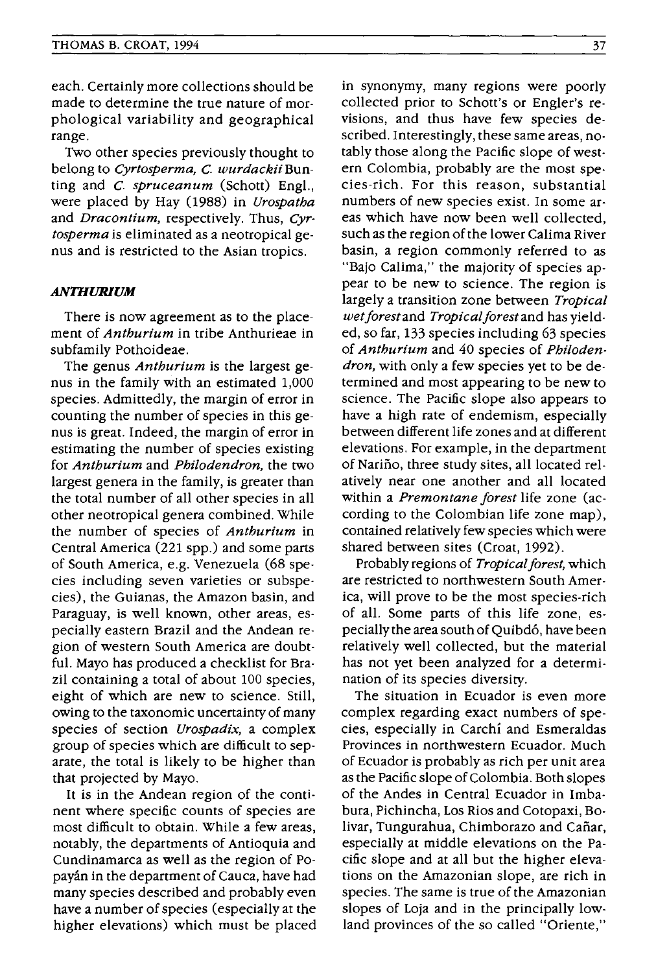each. Certainly more collections should be made to determine the true nature of morphological variability and geographical range.

Two other species previously thought to belong to *Cyrtosperma,* C. *wurdackii* Bunting and C. *spruceanum* (Schott) Engl., were placed by Hay (1988) in *Urospatha*  and *Dracontium,* respectively. Thus, *Cyrtosperma* is eliminated as a neotropical genus and is restricted to the Asian tropics.

## *ANTHURIUM*

There is now agreement as to the placement of *Anthurium* in tribe Anthurieae in subfamily Pothoideae.

The genus *Anthurium* is the largest genus in the family with an estimated 1,000 species. Admittedly, the margin of error in counting the number of species in this genus is great. Indeed, the margin of error in estimating the number of species existing for *Anthurium* and *Philodendron,* the two largest genera in the family, is greater than the total number of all other species in all other neotropical genera combined. While the number of species of *Anthurium* in Central America (221 spp.) and some parts of South America, e.g. Venezuela (68 species including seven varieties or subspecies), the Guianas, the Amazon basin, and Paraguay, is well known, other areas, especially eastern Brazil and the Andean region of western South America are doubtful. Mayo has produced a checklist for Brazil containing a total of about 100 species, eight of which are new to science. Still, owing to the taxonomic uncertainty of many species of section *Urospadix,* a complex group of species which are difficult to separate, the total is likely to be higher than that projected by Mayo.

It is in the Andean region of the continent where specific counts of species are most difficult to obtain. While a few areas, notably, the departments of Antioquia and Cundinamarca as well as the region of Popayán in the department of Cauca, have had many species described and probably even have a number of species (especially at the higher elevations) which must be placed

in synonymy, many regions were poorly collected prior to Schott's or Engler's revisions, and thus have few species described. Interestingly, these same areas, notably those along the Pacific slope of western Colombia, probably are the most species-rich. For this reason, substantial numbers of new species exist. In some areas which have now been well collected, such as the region of the lower Calima River basin, a region commonly referred to as "Bajo Calima," the majority of species appear to be new to science. The region is largely a transition zone between *Tropical wetforestand Tropicalforestand* has yielded, so far, 133 species including 63 species of *Anthurium* and 40 species of *Philodendron,* with only a few species yet to be determined and most appearing to be new to science. The Pacific slope also appears to have a high rate of endemism, especially between different life zones and at different elevations. For example, in the department of Narino, three study sites, all located relatively near one another and all located within a *Premontane forest* life zone (according to the Colombian life zone map), contained relatively few species which were shared between sites (Croat, 1992).

Probably regions of *Tropical forest,* which are restricted to northwestern South America, will prove to be the most species-rich of all. Some parts of this life zone, especiallythe area south of Quibd6, have been relatively well collected, but the material has not yet been analyzed for a determination of its species diversity.

The situation in Ecuador is even more complex regarding exact numbers of species, especially in Carchi and Esmeraldas Provinces in northwestern Ecuador. Much of Ecuador is probably as rich per unit area as the Pacific slope of Colombia. Both slopes of the Andes in Central Ecuador in Imbabura, Pichincha, Los Rios and Cotopaxi, Bolivar, Tungurahua, Chimborazo and Cañar, especially at middle elevations on the Pacific slope and at all but the higher elevations on the Amazonian slope, are rich in species. The same is true of the Amazonian slopes of Loja and in the principally lowland provinces of the so called "Oriente,"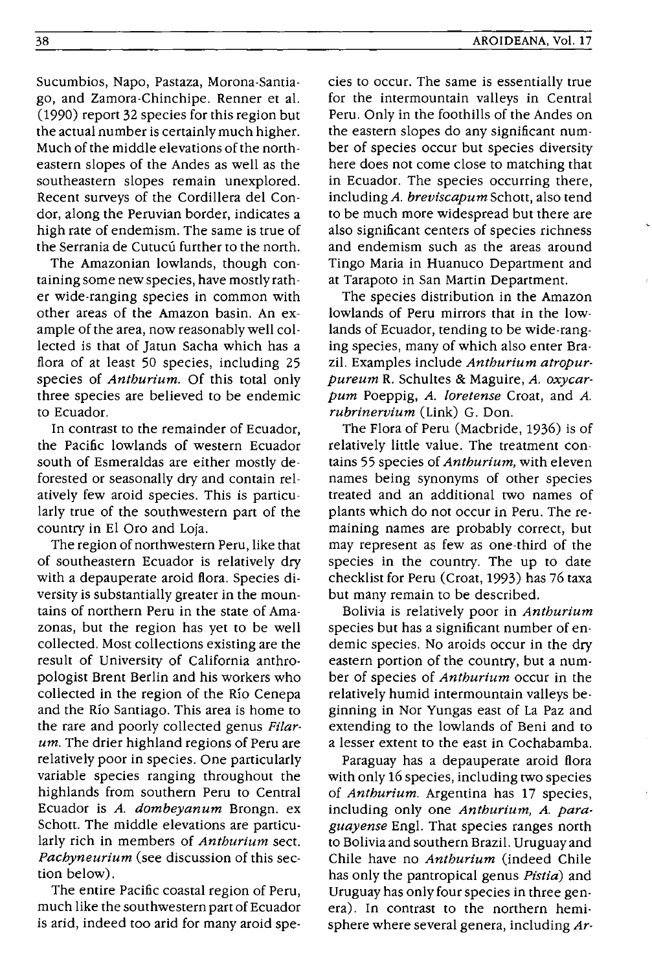Sucumbios, Napo, Pastaza, Morona-Santiago, and Zamora-Chinchipe. Renner et al. (1990) report 32 species for this region but the actual number is certainly much higher. Much of the middle elevations of the northeastern slopes of the Andes as well as the southeastern slopes remain unexplored. Recent surveys of the Cordillera del Condor, along the Peruvian border, indicates a high rate of endemism. The same is true of the Serrania de Cutucú further to the north.

The Amazonian lowlands, though containing some new species, have mostly rather wide-ranging species in common with other areas of the Amazon basin. An example of the area, now reasonably well collected is that of Jatun Sacha which has a flora of at least 50 species, including 25 species of *Anthurium.* Of this total only three species are believed to be endemic to Ecuador.

In contrast to the remainder of Ecuador, the Pacific lowlands of western Ecuador south of Esmeraldas are either mostly deforested or seasonally dry and contain relatively few aroid species. This is particularly true of the southwestern part of the country in El Oro and Loja.

The region of northwestern Peru, like that of southeastern Ecuador is relatively dry with a depauperate aroid flora. Species diversity is substantially greater in the mountains of northern Peru in the state of Amazonas, but the region has yet to be well collected. Most collections existing are the result of University of California anthropologist Brent Berlin and his workers who collected in the region of the Rio Cenepa and the Rio Santiago. This area is home to the rare and poorly collected genus *Filarum.* The drier highland regions of Peru are relatively poor in species. One particularly variable species ranging throughout the highlands from southern Peru to Central Ecuador is *A. dombeyanum* Brongn. ex Schott. The middle elevations are particularly rich in members of *Anthurium* sect. *Pachyneurium* (see discussion of this section below).

The entire Pacific coastal region of Peru, much like the southwestern part of Ecuador is arid, indeed too arid for many aroid species to occur. The same is essentially true for the intermountain valleys in Central Peru. Only in the foothills of the Andes on the eastern slopes do any significant number of species occur but species diversity here does not come close to matching that in Ecuador. The species occurring there, including *A. breviscapum* Schott, also tend to be much more widespread but there are also significant centers of species richness and endemism such as the areas around Tingo Maria in Huanuco Department and at Tarapoto in San Martin Department.

The species distribution in the Amazon lowlands of Peru mirrors that in the lowlands of Ecuador, tending to be wide-ranging species, many of which also enter Brazil. Examples include *Anthurium atropurpureum* R. Schultes & Maguire, *A. ox ycarpum* Poeppig, *A. lore tense* Croat, and *A. rubrinervium* (Link) G. Don.

The Flora of Peru (Macbride, 1936) is of relatively little value. The treatment contains 55 species of *Anthurium,* with eleven names being synonyms of other species treated and an additional two names of plants which do not occur in Peru. The remaining names are probably correct, but may represent as few as one-third of the species in the country. The up to date checklist for Peru (Croat, 1993) has 76 taxa but many remain to be described.

Bolivia is relatively poor in *Anthurium*  species but has a significant number of endemic species. No aroids occur in the dry eastern portion of the country, but a number of species of *Anthurium* occur in the relatively humid intermountain valleys beginning in Nor Yungas east of La Paz and extending to the lowlands of Beni and to a lesser extent to the east in Cochabamba.

Paraguay has a depauperate aroid flora with only 16 species, including two species of *Anthurium.* Argentina has 17 species, including only one *Anthurium, A. paraguayense* Engl. That species ranges north to Bolivia and southern Brazil. Uruguay and Chile have no *Anthurium* (indeed Chile has only the pantropical genus *Pistia)* and Uruguay has only four species in three genera). In contrast to the northern hemisphere where several genera, including *Ar-*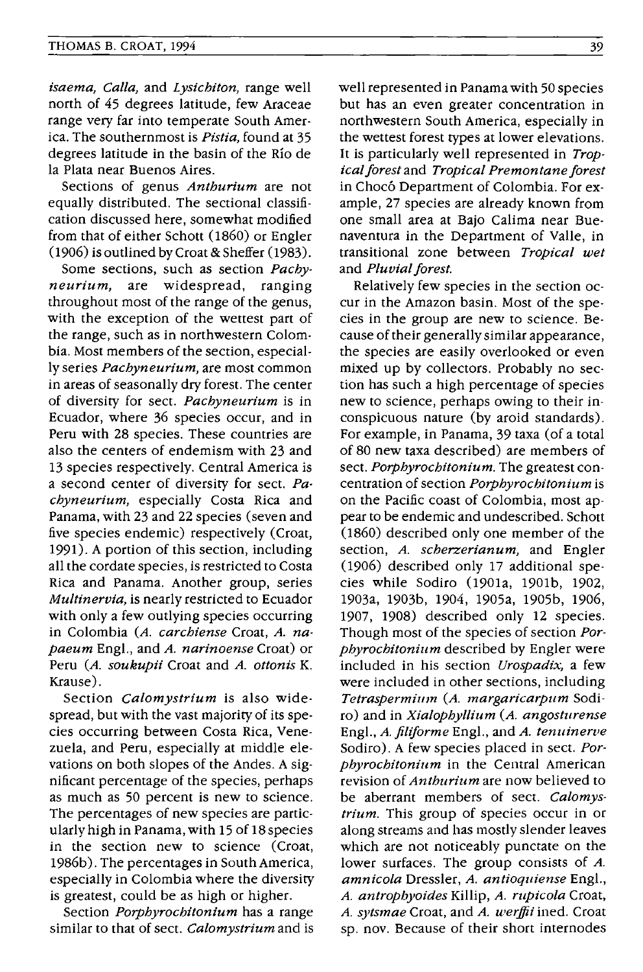*isaema, Calla,* and *Lysichiton,* range well north of 45 degrees latitude, few Araceae range very far into temperate South America. The southernmost is *Pistia,* found at 35 degrees latitude in the basin of the Rio de la Plata near Buenos Aires.

Sections of genus *Anthurium* are not equally distributed. The sectional classification discussed here, somewhat modified from that of either Schott (1860) or Engler (1906) is outlined by Croat & Sheffer (1983).

Some sections, such as section *Pachyneurium,* are widespread, ranging throughout most of the range of the genus, with the exception of the wettest part of the range, such as in northwestern Colombia. Most members of the section, especially series *Pachyneurium,* are most common in areas of seasonally dry forest. The center of diversity for sect. *Pachyneurium* is in Ecuador, where 36 species occur, and in Peru with 28 species. These countries are also the centers of endemism with 23 and 13 species respectively. Central America is a second center of diversity for sect. *Pachyneurium,* especially Costa Rica and Panama, with 23 and 22 species (seven and five species endemic) respectively (Croat, 1991). A portion of this section, including all the cordate species, is restricted to Costa Rica and Panama. Another group, series *Muitinervia,* is nearly restricted to Ecuador with only a few outlying species occurring in Colombia *(A. carchiense* Croat, *A. napaeum* Engl., and *A. narinoense* Croat) or Peru (A. soukupii Croat and A. ottonis K. Krause).

Section *Calomystrium* is also widespread, but with the vast majority of its species occurring between Costa Rica, Venezuela, and Peru, especially at middle elevations on both slopes of the Andes. A significant percentage of the species, perhaps as much as 50 percent is new to science. The percentages of new species are particularly high in Panama, with 15 of 18 species in the section new to science (Croat, 1986b). The percentages in South America, especially in Colombia where the diversity is greatest, could be as high or higher.

Section *Porphyrochitonium* has a range similar to that of sect. *Calomystrium* and is well represented in Panama with 50 species but has an even greater concentration in northwestern South America, especially in the wettest forest types at lower elevations. It is particularly well represented in *Tropical forest* and *Tropical Premontane forest*  in Chocó Department of Colombia. For example, 27 species are already known from one small area at Bajo Calima near Buenaventura in the Department of Valle, in transitional zone between *Tropical wet*  and *Pluvial forest.* 

Relatively few species in the section occur in the Amazon basin. Most of the species in the group are new to science. Because of their generally similar appearance, the species are easily overlooked or even mixed up by collectors. Probably no section has such a high percentage of species new to science, perhaps owing to their inconspicuous nature (by aroid standards). For example, in Panama, 39 taxa (of a total of 80 new taxa described) are members of sect. *Porphyrochitonium.* The greatest concentration of section *Porphyrochitonium* is on the Pacific coast of Colombia, most appear to be endemic and undescribed. Schott (1860) described only one member of the section, *A. scherzerianum,* and Engler (1906) described only 17 additional species while Sodiro (1901a, 1901b, 1902, 1903a, 1903b, 1904, 1905a, 1905b, 1906, 1907, 1908) described only 12 species. Though most of the species of section *Porphyrochitonium* described by Engler were included in his section *Urospadix,* a few were included in other sections, including *Tetraspermill1n (A. margaricarpllm* Sodiro) and in *Xialophyllium (A. angosturense*  Engl., *A. filiforme* Engl., and *A. tenuinerve* Sodiro). A few species placed in sect. *Porphyrochitonium* in the Central American revision of *Anthurium* are now believed to be aberrant members of sect. *Calomystrium.* This group of species occur in or along streams and has mostly slender leaves which are not noticeably punctate on the lower surfaces. The group consists of *A. amnicola* Dressler, *A. antioquiense* Engl., *A. antropbyoides* Killip, *A. rupicola* Croat, *A. sytsmae* Croat, and *A. werJlii* ined. Croat sp. nov. Because of their short internodes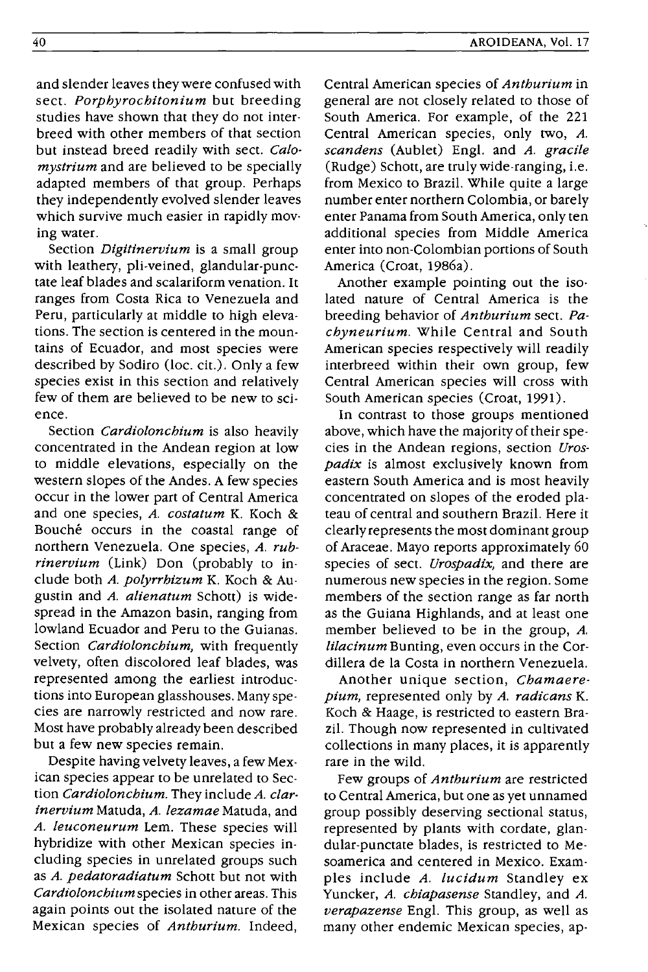and slender leaves they were confused with sect. *Porphyrochitonium* but breeding studies have shown that they do not interbreed with other members of that section but instead breed readily with sect. *Calomystrium* and are believed to be specially adapted members of that group. Perhaps they independently evolved slender leaves which survive much easier in rapidly moving water.

Section *Digitinervium* is a small group with leathery, pli-veined, glandular-punctate leaf blades and scalariform venation. It ranges from Costa Rica to Venezuela and Peru, particularly at middle to high elevations. The section is centered in the mountains of Ecuador, and most species were described by Sodiro (loc. cit.). Only a few species exist in this section and relatively few of them are believed to be new to science.

Section *Cardiolonchium* is also heavily concentrated in the Andean region at low to middle elevations, especially on the western slopes of the Andes. A few species occur in the lower part of Central America and one species, *A. costatum* K. Koch & Bouché occurs in the coastal range of northern Venezuela. One species, *A. rubrinervium* (Link) Don (probably to include both *A. polyrrhizum* K. Koch & Augustin and *A. alienatum* Schott) is widespread in the Amazon basin, ranging from lowland Ecuador and Peru to the Guianas. Section *Cardiolonchium,* with frequently velvety, often discolored leaf blades, was represented among the earliest introductions into European glasshouses. Many species are narrowly restricted and now rare. Most have probably already been described but a few new species remain.

Despite having velvety leaves, a few Mexican species appear to be unrelated to Section *Cardiolonchium.* They include *A. clarinervium* Matuda, *A. lezamae* Matuda, and *A. leuconeurum* Lem. These species will hybridize with other Mexican species including species in unrelated groups such as *A. pedatoradiatum* Schott but not with *Cardiolonchium* species in other areas. This again points out the isolated nature of the Mexican species of *Anthurium.* Indeed, Central American species of *Anthurium* in general are not closely related to those of South America. For example, of the 221 Central American species, only two, *A. scandens* (Aublet) Engl. and *A. gracile*  (Rudge) Schott, are truly wide-ranging, i.e. from Mexico to Brazil. While quite a large number enter northern Colombia, or barely enter Panama from South America, only ten additional species from Middle America enter into non-Colombian portions of South America (Croat, 1986a).

Another example pointing out the isolated nature of Central America is the breeding behavior of *Anthurium* sect. *Pachyneurium.* While Central and South American species respectively will readily interbreed within their own group, few Central American species will cross with South American species (Croat, 1991).

In contrast to those groups mentioned above, which have the majority of their species in the Andean regions, section *Urospadix* is almost exclusively known from eastern South America and is most heavily concentrated on slopes of the eroded plateau of central and southern Brazil. Here it clearly represents the most dominant group of Araceae. Mayo reports approximately 60 species of sect. *Urospadix,* and there are numerous new species in the region. Some members of the section range as far north as the Guiana Highlands, and at least one member believed to be in the group, *A. lilacinum* Bunting, even occurs in the Cordillera de la Costa in northern Venezuela.

Another unique section, *Chamaerepium,* represented only by *A. radicans* K. Koch & Haage, is restricted to eastern Brazil. Though now represented in cultivated collections in many places, it is apparently rare in the wild.

Few groups of *Anthurium* are restricted to Central America, but one as yet unnamed group possibly deserving sectional status, represented by plants with cordate, glandular-punctate blades, is restricted to Mesoamerica and centered in Mexico. Examples include *A. lucidum* Standley ex Yuncker, *A. chiapasense* Standley, and *A. verapazense* Engl. This group, as well as many other endemic Mexican species, ap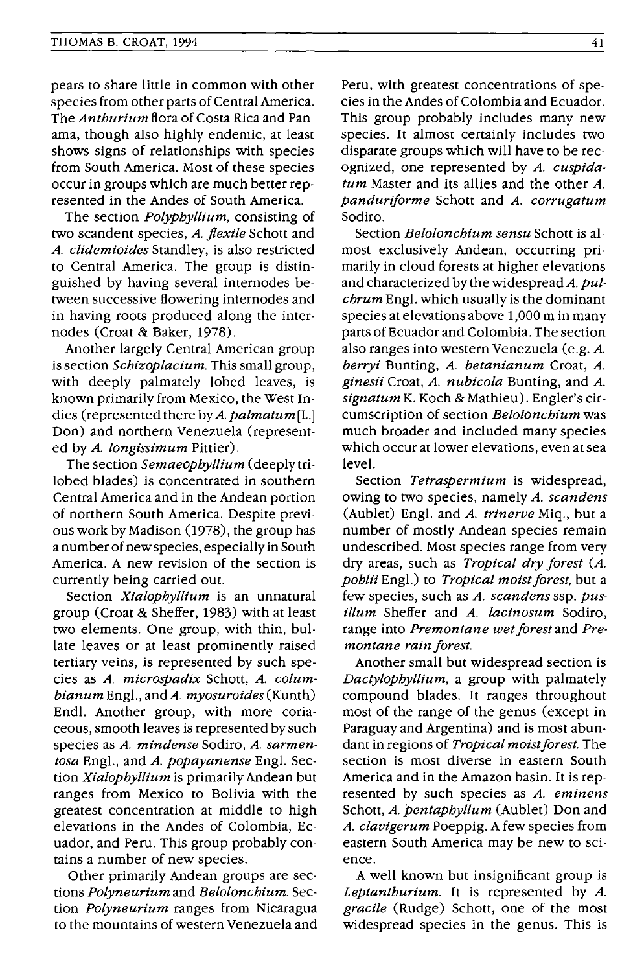pears to share little in common with other species from other parts of Central America. The *Anthurium* flora of Costa Rica and Panama, though also highly endemic, at least shows signs of relationships with species from South America. Most of these species occur in groups which are much better represented in the Andes of South America.

The section *Polyphyllium,* consisting of two scandent species, *A. flexile* Schott and *A. clidemioides* Standley, is also restricted to Central America. The group is distinguished by having several internodes between successive flowering internodes and in having roots produced along the internodes (Croat & Baker, 1978).

Another largely Central American group is section *Schizoplacium.* This small group, with deeply palmately lobed leaves, is known primarily from Mexico, the West Indies (represented there by *A. palmatum* [L.] Don) and northern Venezuela (represented by *A. longissimum* Pittier).

The section *Semaeophyllium* (deeply trilobed blades) is concentrated in southern Central America and in the Andean portion of northern South America. Despite previous work by Madison (1978), the group has a number of new species, especially in South America. A new revision of the section is currently being carried out.

Section *Xialophyllium* is an unnatural group (Croat & Sheffer, 1983) with at least two elements. One group, with thin, bullate leaves or at least prominently raised tertiary veins, is represented by such species as *A. microspadix* Schott, *A. columbianum* Engl., and *A. myosuroides* (Kunth) Endl. Another group, with more coriaceous, smooth leaves is represented by such species as *A. mindense* Sodiro, *A. sarmentosa* Engl., and *A. popayanense* Engl. Section *Xialophyllium* is primarily Andean but ranges from Mexico to Bolivia with the greatest concentration at middle to high elevations in the Andes of Colombia, Ecuador, and Peru. This group probably contains a number of new species.

Other primarily Andean groups are sections *Polyneurium* and *Belolonchium.* Section *Polyneurium* ranges from Nicaragua to the mountains of western Venezuela and Peru, with greatest concentrations of species in the Andes of Colombia and Ecuador. This group probably includes many new species. It almost certainly includes two disparate groups which will have to be recognized, one represented by *A. cuspidatum* Master and its allies and the other *A. panduriforme* Schott and *A. corrugatum*  Sodiro.

Section *Belolonchium sensu* Schott is almost exclusively Andean, occurring primarily in cloud forests at higher elevations and characterized by the widespread *A. pulchrum* Engl. which usually is the dominant species at elevations above 1,000 m in many parts of Ecuador and Colombia. The section also ranges into western Venezuela (e.g. *A. berryi* Bunting, *A. betanianum* Croat, *A. ginesii* Croat, *A. nubicola* Bunting, and *A. signatum* K. Koch & Mathieu). Engler's circumscription of section *Belolonchium* was much broader and included many species which occur at lower elevations, even at sea level.

Section *Tetraspermium* is widespread, owing to two species, namely *A. scandens*  (Aublet) Eng!. and *A. trinerve* Miq., but a number of mostly Andean species remain undescribed. Most species range from very dry areas, such as *Tropical dry forest (A. pohlii* Eng!.) to *Tropical moist forest,* but a few species, such as *A. scandens* ssp. *pusillum* Sheffer and *A. lacinosum* Sodiro, range into *Premontane wet forest* and *Premontane rain forest.* 

Another small but widespread section is *Dactylophyllium,* a group with palmately compound blades. It ranges throughout most of the range of the genus (except in Paraguay and Argentina) and is most abundant in regions of *Tropical moist forest*. The section is most diverse in eastern South America and in the Amazon basin. It is represented by such species as *A. eminens*  Schott, *A. 'pentaphyllum* (Aublet) Don and *A. clavigerum* Poeppig. A few species from eastern South America may be new to science.

A well known but insignificant group is *Leptanthurium.* It is represented by *A. gracile* (Rudge) Schott, one of the most widespread species in the genus. This is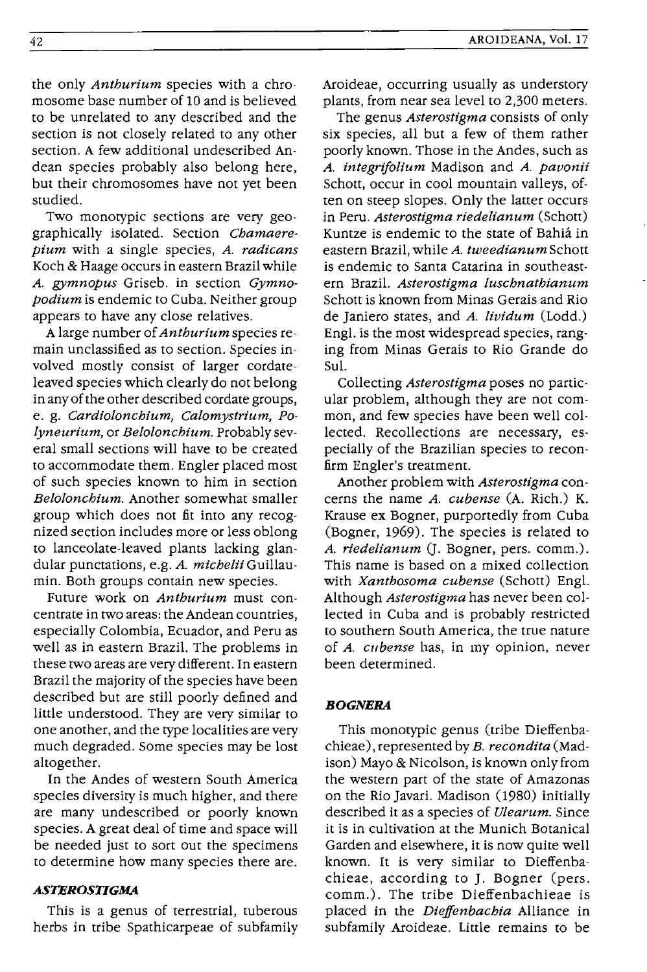the only *Anthurium* species with a chromosome base number of 10 and is believed to be unrelated to any described and the section is not closely related to any other section. A few additional undescribed Andean species probably also belong here, but their chromosomes have not yet been studied.

Two monotypic sections are very geographically isolated. Section *Chamaerepium* with a single species, *A. radicans*  Koch & Haage occurs in eastern Brazil while *A. gymnopus* Griseb. in section *Gymnopodium* is endemic to Cuba. Neither group appears to have any close relatives.

A large number of *Anthurium* species remain unclassified as to section. Species involved mostly consist of larger cordateleaved species which clearly do not belong in any of the other described cordate groups, e. g. *Cardiolonchium, Calomystrium, Polyneurium,* or *Belolonchium.* Probably several small sections will have to be created to accommodate them. Engler placed most of such species known to him in section *Belolonchium.* Another somewhat smaller group which does not fit into any recognized section includes more or less oblong to lanceolate-leaved plants lacking glandular punctations, e.g. *A. michelii* Guillaumin. Both groups contain new species.

Future work on *Anthurium* must concentrate in two areas: the Andean countries, especially Colombia, Ecuador, and Peru as well as in eastern Brazil. The problems in these two areas are very different. In eastern Brazil the majority of the species have been described but are still poorly defined and little understood. They are very similar to one another, and the type localities are very much degraded. Some species may be lost altogether.

In the Andes of western South America species diversity is much higher, and there are many undescribed or poorly known species. A great deal of time and space will be needed just to sort out the specimens to determine how many species there are.

#### *ASTEROSTIGMA*

This is a genus of terrestrial, tuberous herbs in tribe Spathicarpeae of subfamily Aroideae, occurring usually as understory plants, from near sea level to 2,300 meters.

The genus *Asterostigma* consists of only six species, all but a few of them rather poorly known. Those in the Andes, such as *A. integrifolium* Madison and *A. pavonii*  Schott, occur in cool mountain valleys, often on steep slopes. Only the latter occurs in Peru. *Asterostigma riedelianum* (Schott) Kuntze is endemic to the state of Bahia in eastern Brazil, while *A. tweedianum* Schott is endemic to Santa Catarina in southeastern Brazil. *Asterostigma luschnathianum*  Schott is known from Minas Gerais and Rio de Janiero states, and *A. lividum* (Lodd.) Engl. is the most widespread species, ranging from Minas Gerais to Rio Grande do SuI.

Collecting *Asterostigma* poses no particular problem, although they are not common, and few species have been well col· lected. Recollections are necessary, especially of the Brazilian species to reconfirm Engler's treatment.

Another problem with *Asterostigma* concerns the name *A. cubense* (A. Rich.) K. Krause ex Bogner, purportedly from Cuba (Bogner, 1969). The species is related to A. riedelianum (J. Bogner, pers. comm.). This name is based on a mixed collection with *Xanthosoma cubense* (Schott) Engl. Although *Asterostigma* has never been collected in Cuba and is probably restricted to southern South America, the true nature of *A. cllbense* has, in my opinion, never been determined.

#### *BOGNERA*

This monotypic genus (tribe Dieffenbachieae), represented by *B. recondita* (Madison) Mayo & Nicolson, is known only from the western part of the state of Amazonas on the Rio Javari. Madison (1980) initially described it as a species of *Ulearum.* Since it is in cultivation at the Munich Botanical Garden and elsewhere, it is now quite well known. It is very similar to Dieffenbachieae, according to J. Bogner (pers. comm.). The tribe Dieffenbachieae is placed in the *Dielfenbachia* Alliance in subfamily Aroideae. Little remains to be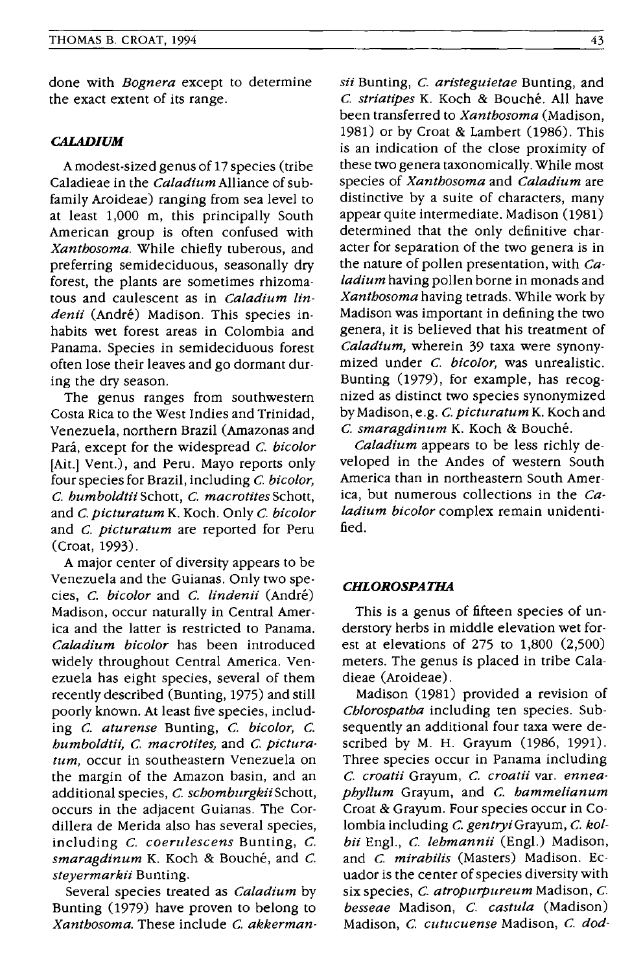done with *Bognera* except to determine the exact extent of its range.

#### *CALADIUM*

A modest-sized genus of 17 species (tribe Caladieae in the *Caladium* Alliance of subfamily Aroideae) ranging from sea level to at least 1,000 m, this principally South American group is often confused with *Xanthosoma.* While chiefly tuberous, and preferring semideciduous, seasonally dry forest, the plants are sometimes rhizomatous and caulescent as in *Caladium lin*denii (André) Madison. This species inhabits wet forest areas in Colombia and Panama. Species in semideciduous forest often lose their leaves and go dormant during the dry season.

The genus ranges from southwestern Costa Rica to the West Indies and Trinidad, Venezuela, northern Brazil (Amazonas and Pará, except for the widespread C. bicolor [Ait.] Vent.), and Peru. Mayo reports only four species for Brazil, including C. *bieolor,*  C. *humboldtii* Schott, C. *maerotites* Schott, and C. *pieturatum* K. Koch. Only C. *bieolor*  and C. *pieturatum* are reported for Peru (Croat, 1993).

A major center of diversity appears to be Venezuela and the Guianas. Only two species, C. *bieolor* and C. *lindenii* (Andre) Madison, occur naturally in Central America and the latter is restricted to Panama. *Caladium bicolor* has been introduced widely throughout Central America. Venezuela has eight species, several of them recently described (Bunting, 1975) and still poorly known. At least five species, including C. *aturense* Bunting, C. *bieolor,* C. *humboldtii,* C. *maerotites,* and C. *pieturatum,* occur in southeastern Venezuela on the margin of the Amazon basin, and an additional species, C. *schomburgkii* Schott, occurs in the adjacent Guianas. The Cordillera de Merida also has several species, including C. *eoeruleseens* Bunting, C. *smaragdinum* K. Koch & Bouche, and C. *steyermarkii* Bunting.

Several species treated as *Caladium* by Bunting (1979) have proven to belong to *Xanthosoma.* These include C. *akkerman-*

*sii* Bunting, C. *aristeguietae* Bunting, and C. *striatipes* K. Koch & Bouche. All have been transferred to *Xanthosoma* (Madison, 1981) or by Croat & Lambert (1986). This is an indication of the close proximity of these two genera taxonomically. While most species of *Xanthosoma* and *Caladium* are distinctive by a suite of characters, many appear quite intermediate. Madison (1981) determined that the only definitive character for separation of the two genera is in the nature of pollen presentation, with *Caladium* having pollen borne in monads and *Xanthosoma* having tetrads. While work by Madison was important in defining the two genera, it is believed that his treatment of *Caladium,* wherein 39 taxa were synonymized under C. *bieolor,* was unrealistic. Bunting (1979), for example, has recognized as distinct two species synonymized by Madison, e.g. C. *pieturatum* K. Koch and C. *smaragdinllm* K. Koch & Bouche.

*Caladium* appears to be less richly developed in the Andes of western South America than in northeastern South America, but numerous collections in the *Caladium bieolor* complex remain unidentified.

## *CHLOROSPATHA*

This is a genus of fifteen species of understory herbs in middle elevation wet forest at elevations of 275 to 1,800 (2,500) meters. The genus is placed in tribe Caladieae (Aroideae).

Madison (1981) provided a revision of *Chlorospatha* including ten species. Subsequently an additional four taxa were described by M. H. Grayum (1986, 1991). Three species occur in Panama including C. *eroatii* Grayum, C. *eroatii* var. *enneaphyllum* Grayum, and C. *hammelianum*  Croat & Grayum. Four species occur in Colombiaincluding C. *gentryiGrayum,* C. *kolbii* Engl., C. *lehmannii* (Engl.) Madison, and C. *mirabilis* (Masters) Madison. Ecuador is the center of species diversity with six species, C. *atropurpureum* Madison, C. *besseae* Madison, C. *eastula* (Madison) Madison, C. *eutlleuense* Madison, C. *dod-*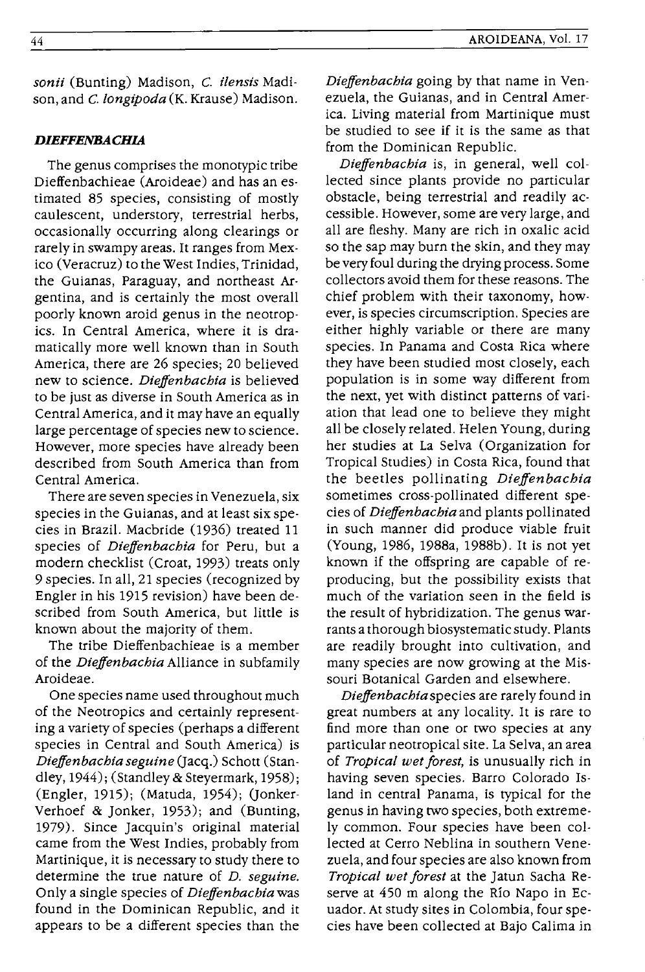# *DIEFFENBACHIA*

The genus comprises the monotypic tribe Dieffenbachieae (Aroideae) and has an es· timated 85 species, consisting of mostly caulescent, understory, terrestrial herbs, occasionally occurring along clearings or rarely in swampy areas. It ranges from Mex· ico (Veracruz) to the West Indies, Trinidad, the Guianas, Paraguay, and northeast Ar· gentina, and is certainly the most overall poorly known aroid genus in the neotrop· ics. In Central America, where it is dramatically more well known than in South America, there are 26 species; 20 believed new to science. *Dieffenbachia* is believed to be just as diverse in South America as in Central America, and it may have an equally large percentage of species new to science. However, more species have already been described from South America than from Central America.

There are seven species in Venezuela, six species in the Guianas, and at least six species in Brazil. Macbride (1936) treated 11 species of *Dieffenbachia* for Peru, but a modern checklist (Croat, 1993) treats only 9 species. In all, 21 species (recognized by Engler in his 1915 revision) have been de· scribed from South America, but little is known about the majority of them.

The tribe Dieffenbachieae is a member of the *Dieffenbachia* Alliance in subfamily Aroideae.

One species name used throughout much of the Neotropics and certainly representing a variety of species (perhaps a different species in Central and South America) is *Dieffenbachiaseguine* (Jacq.) Schott (Stan· dley, 1944); (Standley & Steyermark, 1958); (Engler, 1915); (Matuda, 1954); (Jonker· Verhoef & Jonker, 1953); and (Bunting, 1979). Since Jacquin's original material came from the West Indies, probably from Martinique, it is necessary to study there to determine the true nature of *D. seguine.*  Only a single species of *Dieffenbachia* was found in the Dominican Republic, and it appears to be a different species than the

*Dieffenbachia* going by that name in Venezuela, the Guianas, and in Central America. Living material from Martinique must be studied to see if it is the same as that from the Dominican Republic.

*Dieffenbachia* is, in general, well collected since plants provide no particular obstacle, being terrestrial and readily accessible. However, some are very large, and all are fleshy. Many are rich in oxalic acid so the sap may burn the skin, and they may be very foul during the drying process. Some collectors avoid them for these reasons. The chief problem with their taxonomy, however, is species circumscription. Species are either highly variable or there are many species. In Panama and Costa Rica where they have been studied most closely, each population is in some way different from the next, yet with distinct patterns of variation that lead one to believe they might all be closely related. Helen Young, during her studies at La Selva (Organization for Tropical Studies) in Costa Rica, found that the beetles pollinating *Dieffenbachia*  sometimes cross-pollinated different species of *Dieffenbachia* and plants pollinated in such manner did produce viable fruit (Young, 1986, 1988a, 1988b). It is not yet known if the offspring are capable of reproducing, but the possibility exists that much of the variation seen in the field is the result of hybridization. The genus warrants a thorough biosystematic study. Plants are readily brought into cultivation, and many species are now growing at the Missouri Botanical Garden and elsewhere.

*Dieffenbachia* species are rarely found in great numbers at any locality. It is rare to find more than one or two species at any particular neotropical site. La Selva, an area of *Tropical wet jorest,* is unusually rich in having seven species. Barro Colorado Island in central Panama, is typical for the genus in having two species, both extremely common. Four species have been col· lected at Cerro Neblina in southern Venezuela, and four species are also known from *Tropical wet jorest* at the Jatun Sacha Reserve at 450 m along the Rio Napo in Ecuador. At study sites in Colombia, four species have been collected at Bajo Calima in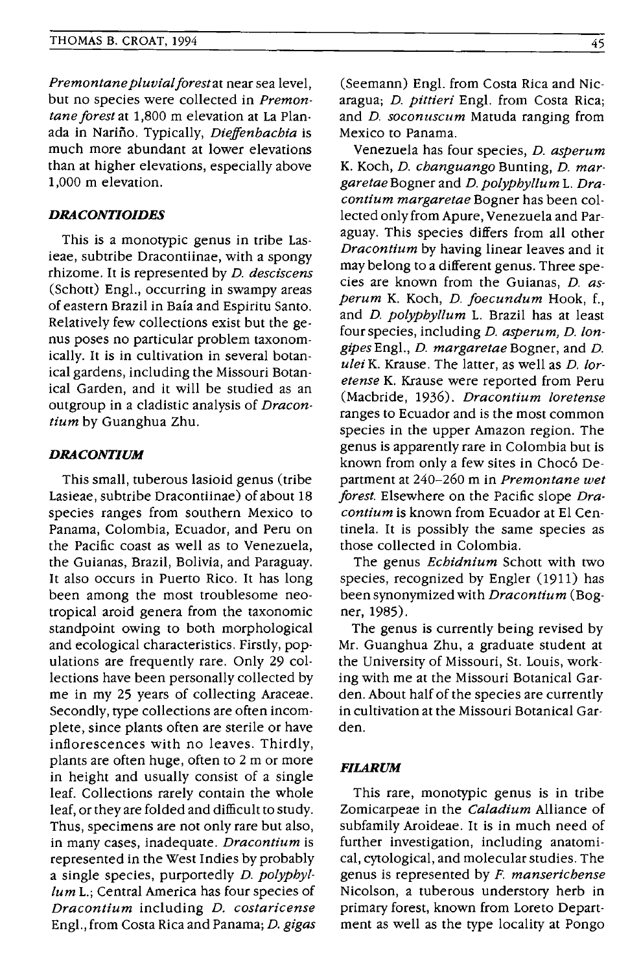*Premontane pluvial forest* at near sea level, but no species were collected in *Premontane forest* at 1,800 m elevation at La Planada in Narino. Typically, *Dieffenbacbia* is much more abundant at lower elevations than at higher elevations, especially above 1,000 m elevation.

#### *DRACONTIOIDES*

This is a monotypic genus in tribe Lasieae, subtribe Dracontiinae, with a spongy rhizome. It is represented by *D. desciscens*  (Schott) Engl., occurring in swampy areas of eastern Brazil in Baia and Espiritu Santo. Relatively few collections exist but the genus poses no particular problem taxonomically. It is in cultivation in several botanical gardens, including the Missouri Botanical Garden, and it will be studied as an outgroup in a cladistic analysis of *Dracontium* by Guanghua Zhu.

## *DRACONTIUM*

This small, tuberous lasioid genus (tribe Lasieae, subtribe Dracontiinae) of about 18 species ranges from southern Mexico to Panama, Colombia, Ecuador, and Peru on the Pacific coast as well as to Venezuela, the Guianas, Brazil, Bolivia, and Paraguay. It also occurs in Puerto Rico. It has long been among the most troublesome neotropical aroid genera from the taxonomic standpoint owing to both morphological and ecological characteristics. Firstly, populations are frequently rare. Only 29 collections have been personally collected by me in my 25 years of collecting Araceae. Secondly, type collections are often incomplete, since plants often are sterile or have inflorescences with no leaves. Thirdly, plants are often huge, often to 2 m or more in height and usually consist of a single leaf. Collections rarely contain the whole leaf, or they are folded and difficult to study. Thus, specimens are not only rare but also, in many cases, inadequate. *Dracontium* is represented in the West Indies by probably a single species, purportedly *D. polypbyllum* L.; Central America has four species of *Dracontium* including *D. costaricense*  Engl., from Costa Rica and Panama; *D. gigas*  (Seemann) Engl. from Costa Rica and Nicaragua; *D. pittieri* Engl. from Costa Rica; and *D. soconuscum* Matuda ranging from Mexico to Panama.

Venezuela has four species, *D. asperum*  K. Koch, *D. cbanguango* Bunting, *D. margaretae* Bogner and *D. polypbyllum* L. *Dracontium margaretae* Bogner has been collected only from Apure, Venezuela and Paraguay. This species differs from all other *Dracontium* by having linear leaves and it may belong to a different genus. Three species are known from the Guianas, *D. asperum* K. Koch, *D. Joecundum* Hook, f., and *D. polypbyllum* L. Brazil has at least four species, including *D. asperum, D. longipes* Engl., *D. margaretae* Bogner, and *D. ulei* K. Krause. The latter, as well as *D. loretense* K. Krause were reported from Peru (Macbride, 1936). *Dracontium loretense*  ranges to Ecuador and is the most common species in the upper Amazon region. The genus is apparently rare in Colombia but is known from only a few sites in Chocó Department at 240-260 m in *Premontane wet Jorest.* Elsewhere on the Pacific slope *Dracontium* is known from Ecuador at EI Centinela. It is possibly the same species as those collected in Colombia.

The genus *Ecbidnium* Schott with two species, recognized by Engler (1911) has been synonymized with *Dracontium* (Bogner, 1985).

The genus is currently being revised by Mr. Guanghua Zhu, a graduate student at the University of Missouri, St. Louis, working with me at the Missouri Botanical Garden. About half of the species are currently in cultivation at the Missouri Botanical Garden.

## *FILARUM*

This rare, monotypic genus is in tribe Zomicarpeae in the *Caladium* Alliance of subfamily Aroideae. It is in much need of further investigation, including anatomical, cytological, and molecular studies. The genus is represented by *F. mansericbense*  Nicolson, a tuberous understory herb in primary forest, known from Loreto Department as well as the type locality at Pongo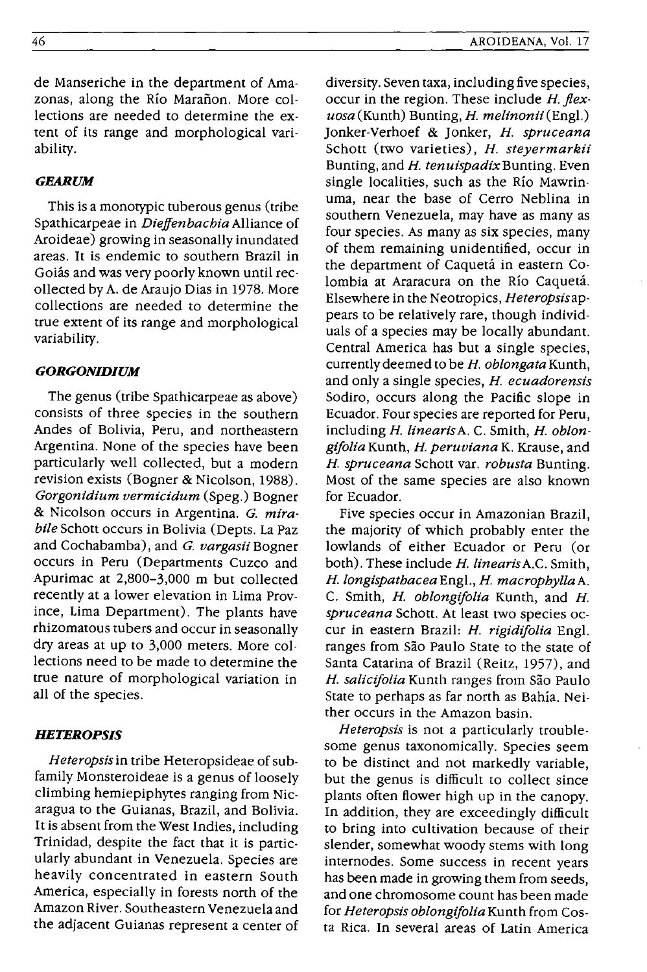de Manseriche in the department of Amazonas, along the Río Marañon. More collections are needed to determine the extent of its range and morphological variability.

## *GEARUM*

This is a monotypic tuberous genus (tribe Spathicarpeae in *Dieffenbachia* Alliance of Aroideae) growing in seasonally inundated areas. It is endemic to southern Brazil in Goiás and was very poorly known until recollected by A. de Araujo Dias in 1978. More collections are needed to determine the true extent of its range and morphological variability.

# *GORGONIDIUM*

The genus (tribe Spathicarpeae as above) consists of three species in the southern Andes of Bolivia, Peru, and northeastern Argentina. None of the species have been particularly well collected, but a modern revision exists (Bogner & Nicolson, 1988). *Gorgonidium vermicidum* (Speg.) Bogner & Nicolson occurs in Argentina. *G. mirabile* Schott occurs in Bolivia (Depts. La Paz and Cochabamba), and *G. vargasii* Bogner occurs in Peru (Departments Cuzco and Apurimac at 2,800-3,000 m but collected recently at a lower elevation in Lima Province, Lima Department). The plants have rhizomatous tubers and occur in seasonally dry areas at up to 3,000 meters. More collections need to be made to determine the true nature of morphological variation in all of the species.

## *HETEROPSIS*

*Heteropsis* in tribe Heteropsideae of subfamily Monsteroideae is a genus of loosely climbing hemiepiphytes ranging from Nicaragua to the Guianas, Brazil, and Bolivia. It is absent from the West Indies, including Trinidad, despite the fact that it is particularly abundant in Venezuela. Species are heavily concentrated in eastern South America, especially in forests north of the Amazon River. Southeastern Venezuela and the adjacent Guianas represent a center of

diversity. Seven taxa, including five species, occur in the region. These include *H. flexuosa* (Kunth) Bunting, *H. melinonii* (Eng!.) Jonker-Verhoef & Jonker, *H. spruceana*  Schott (two varieties), *H. steyermarkii*  Bunting, and *H. tenuispadixBunting.* Even single localities, such as the Rio Mawrinuma, near the base of Cerro Neblina in southern Venezuela, may have as many as four species. As many as six species, many of them remaining unidentified, occur in the department of Caqueta in eastern Colombia at Araracura on the Rio Caqueta. Elsewhere in the Neotropics, *Heteropsisap*pears to be relatively rare, though individuals of a species may be locally abundant. Central America has but a single species, currently deemed to be *H. oblongata* Kunth, and only a single species, *H. ecuadorensis*  Sodiro, occurs along the Pacific slope in Ecuador. Four species are reported for Peru, including *H. linearisA.* C. Smith, *H. oblongijolia* Kunth, *H. peruviana* K. Krause, and *H. spruceana* Schott var. *robusta* Bunting. Most of the same species are also known for Ecuador.

Five species occur in Amazonian Brazil, the majority of which probably enter the lowlands of either Ecuador or Peru (or both). These include *H. linearisA.C.* Smith, *H.longispathaceaEng!., H. macrophyllaA.*  C. Smith, *H. oblongijolia* Kunth, and *H. spruceana* Schott. At least two species occur in eastern Brazil: *H. rigidijolia* Eng!. ranges from São Paulo State to the state of Santa Catarina of Brazil (Reitz, 1957), and *H. salicifolia* Kunth ranges from São Paulo State to perhaps as far north as Bahia. Neither occurs in the Amazon basin.

*Heteropsis* is not a particularly troublesome genus taxonomically. Species seem to be distinct and not markedly variable, but the genus is difficult to collect since plants often flower high up in the canopy. In addition, they are exceedingly difficult to bring into cultivation because of their slender, somewhat woody stems with long internodes. Some success in recent years has been made in growing them from seeds, and one chromosome count has been made for *Heteropsis oblongifolia* Kunth from Costa Rica. In several areas of Latin America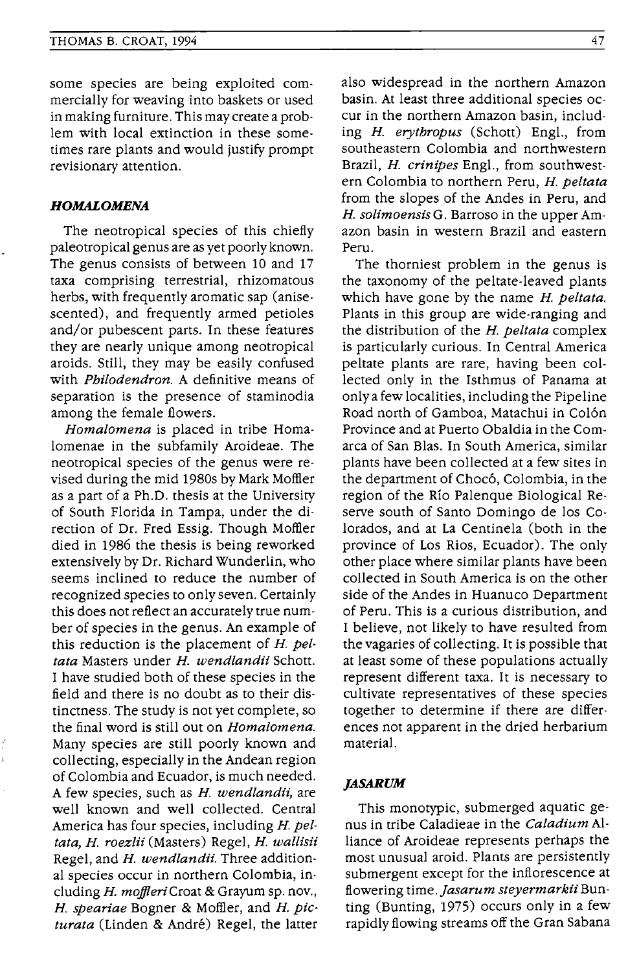some species are being exploited commercially for weaving into baskets or used in making furniture. This may create a problem with local extinction in these sometimes rare plants and would justify prompt revisionary attention.

## *HOMALOMENA*

The neotropical species of this chiefly paleotropical genus are as yet poorly known. The genus consists of between 10 and 17 taxa comprising terrestrial, rhizomatous herbs, with frequently aromatic sap (anisescented), and frequently armed petioles and/or pubescent parts. In these features they are nearly unique among neotropical aroids. Still, they may be easily confused with *Philodendron.* A definitive means of separation is the presence of staminodia among the female flowers.

*Homalomena* is placed in tribe Homa· lomenae in the subfamily Aroideae. The neotropical species of the genus were revised during the mid 1980s by Mark Moffler as a part of a Ph.D. thesis at the University of South Florida in Tampa, under the direction of Dr. Fred Essig. Though Moffler died in 1986 the thesis is being reworked extensively by Dr. Richard Wunderlin, who seems inclined to reduce the number of recognized species to only seven. Certainly this does not reflect an accurately true number of species in the genus. An example of this reduction is the placement of *H. peltata* Masters under *H. wendlandii* Schott. I have studied both of these species in the field and there is no doubt as to their distinctness. The study is not yet complete, so the final word is still out on *Homalomena.*  Many species are still poorly known and collecting, especially in the Andean region of Colombia and Ecuador, is much needed. A few species, such as *H. wendlandii*, are well known and well collected. Central America has four species, including *H. peltata, H. roezlii* (Masters) Regel, *H. wallisii* Regel, and *H. wendlandii*. Three additional species occur in northern Colombia, including *H. moJlleriCroat* & Grayum sp. nov., *H. speariae* Bogner & MotHer, and *H. picturata* (Linden & Andre) Regel, the latter

also widespread in the northern Amazon basin. At least three additional species occur in the northern Amazon basin, including *H. erythropus* (Schott) Engl., from southeastern Colombia and northwestern Brazil, *H. crinipes* Engl., from southwestern Colombia to northern Peru, *H. peltata*  from the slopes of the Andes in Peru, and *H. solimoensisG.* Barroso in the upper Amazon basin in western Brazil and eastern Peru.

The thorniest problem in the genus is the taxonomy of the peltate-leaved plants which have gone by the name *H. peltata.*  Plants in this group are wide-ranging and the distribution of the *H. peltata* complex is particularly curious. In Central America peltate plants are rare, having been collected only in the Isthmus of Panama at only a few localities, including the Pipeline Road north of Gamboa, Matachui in Colón Province and at Puerto Obaldia in the Comarca of San BIas. In South America, similar plants have been collected at a few sites in the department of Chocó, Colombia, in the region of the Rio Palenque Biological Reserve south of Santo Domingo de los Colorados, and at La Centinela (both in the province of Los Rios, Ecuador). The only other place where similar plants have been collected in South America is on the other side of the Andes in Huanuco Department of Peru. This is a curious distribution, and I believe, not likely to have resulted from the vagaries of collecting. It is possible that at least some of these populations actually represent different taxa. It is necessary to cultivate representatives of these species together to determine if there are differences not apparent in the dried herbarium material.

## *,ASARUM*

This monotypic, submerged aquatic genus in tribe Caladieae in the *Caladium* Alliance of Aroideae represents perhaps the most unusual aroid. Plants are persistently submergent except for the inflorescence at .tl.owering time *.]asarum steyermarkii* Bunting (Bunting, 1975) occurs only in a few rapidly flowing streams off the Gran Sabana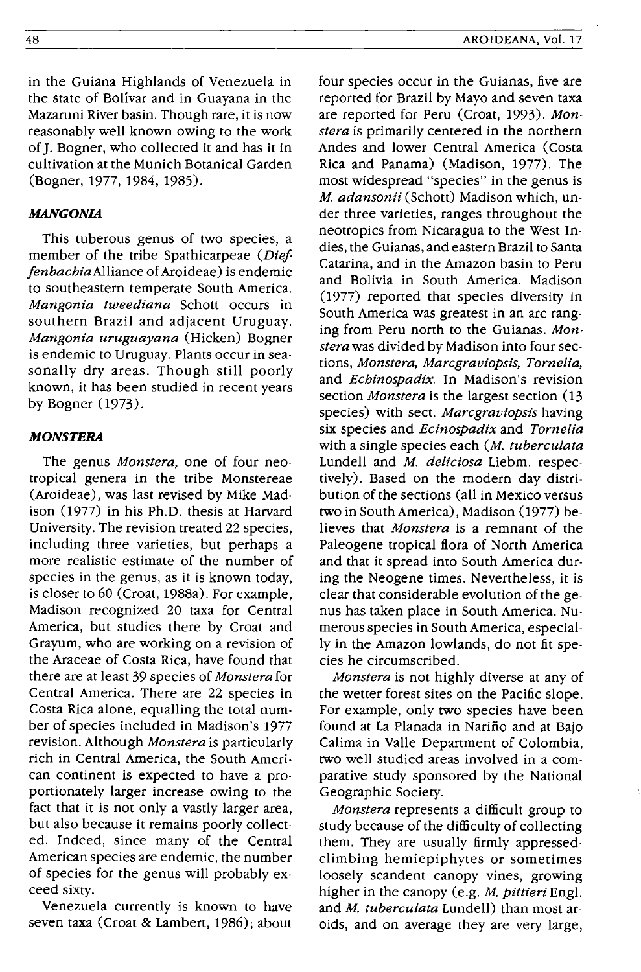in the Guiana Highlands of Venezuela in the state of Bolivar and in Guayana in the Mazaruni River basin. Though rare, it is now reasonably well known owing to the work of J. Bogner, who collected it and has it in cultivation at the Munich Botanical Garden (Bogner, 1977, 1984, 1985).

#### **MANGONIA**

This tuberous genus of two species, a member of the tribe Spathicarpeae (Dief*fenbachiaAlliance* of Aroideae) is endemic to southeastern temperate South America. *Mangonia tweediana* Schott occurs in southern Brazil and adjacent Uruguay. *Mangonia uruguayana* (Hicken) Bogner is endemic to Uruguay. Plants occur in seasonally dry areas. Though still poorly known, it has been studied in recent years by Bogner (1973).

#### **MONSTERA**

The genus *Monstera,* one of four neotropical genera in the tribe Monstereae (Aroideae), was last revised by Mike Madison (1977) in his Ph.D. thesis at Harvard University. The revision treated 22 species, including three varieties, but perhaps a more realistic estimate of the number of species in the genus, as it is known today, is closer to 60 (Croat, 1988a). For example, Madison recognized 20 taxa for Central America, but studies there by Croat and Grayum, who are working on a revision of the Araceae of Costa Rica, have found that there are at least 39 species of *Monstera* for Central America. There are 22 species in Costa Rica alone, equalling the total number of species included in Madison's 1977 revision. Although *Monstera* is particularly rich in Central America, the South American continent is expected to have a proportionately larger increase owing to the fact that it is not only a vastly larger area, but also because it remains poorly collected. Indeed, since many of the Central American species are endemic, the number of species for the genus will probably exceed sixty.

Venezuela currently is known to have seven taxa (Croat & Lambert, 1986); about

four species occur in the Guianas, five are reported for Brazil by Mayo and seven taxa are reported for Peru (Croat, 1993). *Monstera* is primarily centered in the northern Andes and lower Central America (Costa Rica and Panama) (Madison, 1977). The most widespread "species" in the genus is M. *adansonii* (Schott) Madison which, under three varieties, ranges throughout the neotropics from Nicaragua to the West Indies, the Guianas, and eastern Brazil to Santa Catarina, and in the Amazon basin to Peru and Bolivia in South America. Madison (1977) reported that species diversity in South America was greatest in an arc ranging from Peru north to the Guianas. *Monstera* was divided by Madison into four sections, *Monstera, Marcgraviopsis, Tornelia,*  and *Echinospadix.* In Madison's revision section *Monstera* is the largest section (13 species) with sect. *Marcgraviopsis* having six species and *Ecinospadix* and *Tornelia*  with a single species each *(M. tuberculata*  Lundell and *M. deliciosa* Liebm. respectively). Based on the modern day distribution of the sections (all in Mexico versus two in South America) , Madison (1977) believes that *Monstera* is a remnant of the Paleogene tropical flora of North America and that it spread into South America during the Neogene times. Nevertheless, it is clear that considerable evolution of the genus has taken place in South America. Numerous species in South America, especially in the Amazon lowlands, do not fit species he circumscribed.

*Monstera* is not highly diverse at any of the wetter forest sites on the Pacific slope. For example, only two species have been found at La Planada in Narino and at Bajo Calima in Valle Department of Colombia, two well studied areas involved in a comparative study sponsored by the National Geographic Society.

*Monstera* represents a difficult group to study because of the difficulty of collecting them. They are usually firmly appressedclimbing hemiepiphytes or sometimes loosely scandent canopy vines, growing higher in the canopy (e.g. *M. pittieri* Engl. and *M. tuberculata* Lundell) than most aroids, and on average they are very large,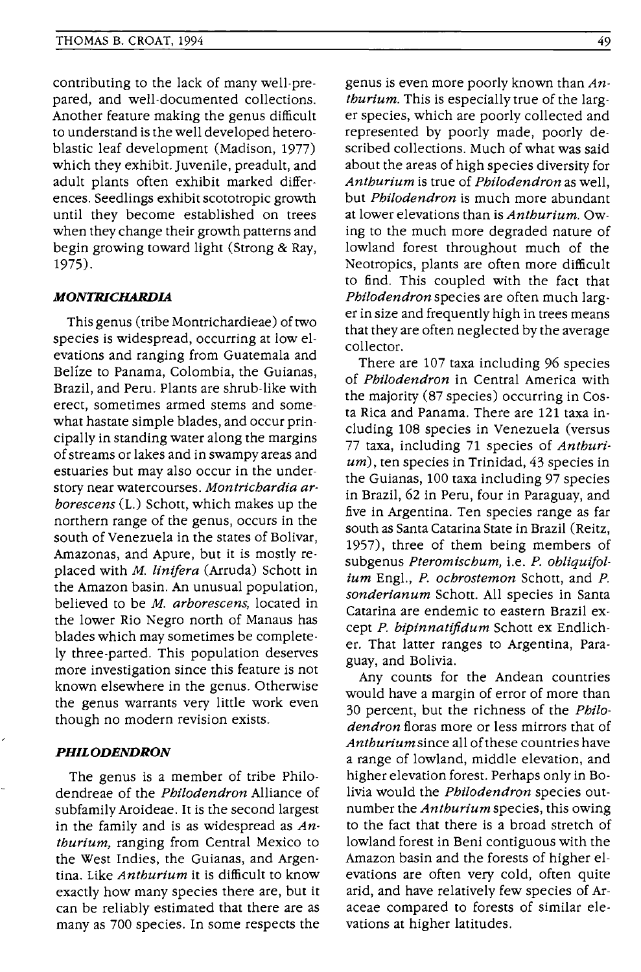contributing to the lack of many well-prepared, and well-documented collections. Another feature making the genus difficult to understand is the well developed heteroblastic leaf development (Madison, 1977) which they exhibit. Juvenile, preadult, and adult plants often exhibit marked differences. Seedlings exhibit scototropic growth until they become established on trees when they change their growth patterns and begin growing toward light (Strong & Ray, 1975).

#### **MONTRICHARDIA**

This genus (tribe Montrichardieae) of two species is widespread, occurring at low elevations and ranging from Guatemala and Belize to Panama, Colombia, the Guianas, Brazil, and Peru. Plants are shrub-like with erect, sometimes armed stems and somewhat hastate simple blades, and occur principally in standing water along the margins of streams or lakes and in swampy areas and estuaries but may also occur in the understory near watercourses. *Montrichardia arborescens* (L.) Schott, which makes up the northern range of the genus, occurs in the south of Venezuela in the states of Bolivar, Amazonas, and Apure, but it is mostly replaced with M. *linifera* (Arruda) Schott in the Amazon basin. An unusual population, believed to be M. *arborescens,* located in the lower Rio Negro north of Manaus has blades which may sometimes be completely three-parted. This population deserves more investigation since this feature is not known elsewhere in the genus. Otherwise the genus warrants very little work even though no modern revision exists.

## **PHILODENDRON**

The genus is a member of tribe Philodendreae of the *Philodendron* Alliance of subfamily Aroideae. It is the second largest in the family and is as widespread as *Anthurium,* ranging from Central Mexico to the West Indies, the Guianas, and Argentina. Like *Anthurium* it is difficult to know exactly how many species there are, but it can be reliably estimated that there are as many as 700 species. In some respects the

genus is even more poorly known than *Anthurium.* This is especially true of the larger species, which are poorly collected and represented by poorly made, poorly described collections. Much of what was said about the areas of high species diversity for *Anthurium* is true of *Philodendron* as well, but *Philodendron* is much more abundant at lower elevations than is *Anthurium.* Owing to the much more degraded nature of lowland forest throughout much of the Neotropics, plants are often more difficult to find. This coupled with the fact that *Philodendron* species are often much larger in size and frequently high in trees means that they are often neglected by the average collector.

There are 107 taxa including 96 species of *Philodendron* in Central America with the majority (87 species) occurring in Costa Rica and Panama. There are 121 taxa including 108 species in Venezuela (versus 77 taxa, including 71 species of *Anthurium),* ten species in Trinidad, 43 species in the Guianas, 100 taxa including 97 species in Brazil, 62 in Peru, four in Paraguay, and five in Argentina. Ten species range as far south as Santa Catarina State in Brazil (Reitz, 1957), three of them being members of subgenus *Pteromischum,* i.e. P. *obliquifolium* Engl., *P. ochrostemon* Schott, and P. *sonderianum* Schott. All species in Santa Catarina are endemic to eastern Brazil except *P. bipinnatifidum* Schott ex Endlicher. That latter ranges to Argentina, Paraguay, and Bolivia.

Any counts for the Andean countries would have a margin of error of more than 30 percent, but the richness of the *Philodendron* floras more or less mirrors that of *Anthurium* since all of these countries have a range of lowland, middle elevation, and higher elevation forest. Perhaps only in Bolivia would the *Philodendron* species outnumber the *Anthurium* species, this owing to the fact that there is a broad stretch of lowland forest in Beni contiguous with the Amazon basin and the forests of higher elevations are often very cold, often quite arid, and have relatively few species of Araceae compared to forests of similar elevations at higher latitudes.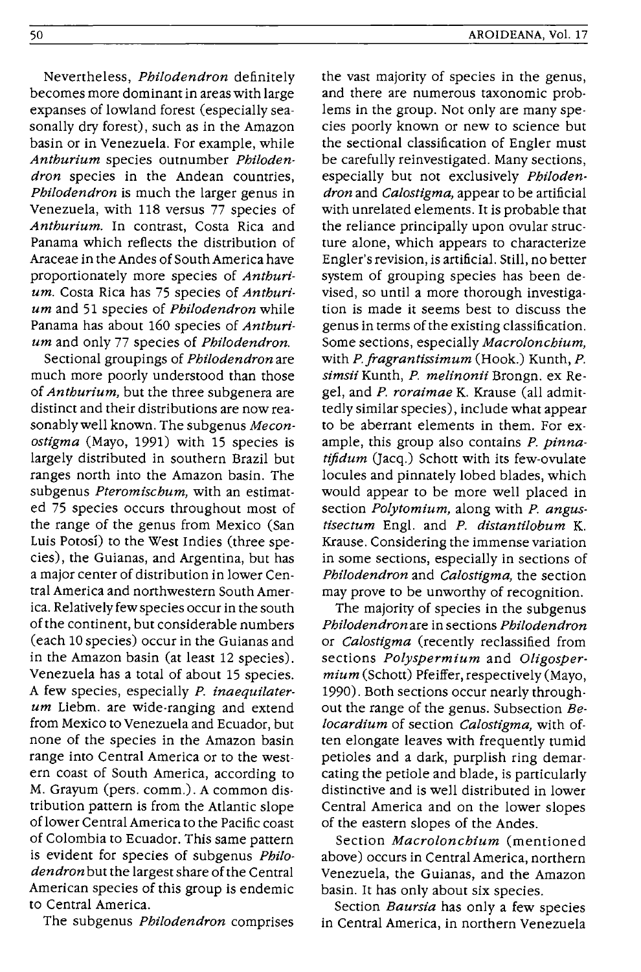50

becomes more dominant in areas with large expanses of lowland forest (especially seasonally dry forest), such as in the Amazon basin or in Venezuela. For example, while *Anthurium* species outnumber *Philodendron* species in the Andean countries, *Philodendron* is much the larger genus in Venezuela, with 118 versus 77 species of *Anthurium.* In contrast, Costa Rica and Panama which reflects the distribution of Araceae in the Andes of South America have proportionately more species of *Anthurium.* Costa Rica has 75 species of *Anthurium* and 51 species of *Philodendron* while Panama has about 160 species of *Anthurium* and only 77 species of *Philodendron.* 

Sectional groupings of *Philodendron* are much more poorly understood than those of *Anthurium,* but the three subgenera are distinct and their distributions are now reasonablywell known. The subgenus *Meconostigma* (Mayo, 1991) with 15 species is largely distributed in southern Brazil but ranges north into the Amazon basin. The subgenus *Pteromischum,* with an estimated 75 species occurs throughout most of the range of the genus from Mexico (San Luis Potosi) to the West Indies (three species), the Guianas, and Argentina, but has a major center of distribution in lower Central America and northwestern South America. Relatively few species occur in the south of the continent, but considerable numbers (each 10 species) occur in the Guianas and in the Amazon basin (at least 12 species). Venezuela has a total of about 15 species. A few species, especially *P. inaequilaterum* Liebm. are wide-ranging and extend from Mexico to Venezuela and Ecuador, but none of the species in the Amazon basin range into Central America or to the western coast of South America, according to M. Grayum (pers. comm.). A common distribution pattern is from the Atlantic slope of lower Central America to the Pacific coast of Colombia to Ecuador. This same pattern is evident for species of subgenus *Philodendron* but the largest share of the Central American species of this group is endemic to Central America.

The subgenus *Philodendron* comprises

the vast majority of species in the genus, and there are numerous taxonomic problems in the group. Not only are many species poorly known or new to science but the sectional classification of Engler must be carefully reinvestigated. Many sections, especially but not exclusively *Philodendron* and *Calostigma,* appear to be artificial with unrelated elements. It is probable that the reliance principally upon ovular structure alone, which appears to characterize Engler's revision, is artificial. Still, no better system of grouping species has been devised, so until a more thorough investigation is made it seems best to discuss the genus in terms of the existing classification. Some sections, especially *Macrolonchium,*  with *P.fragrantissimum* (Hook.) Kunth, *P. simsii* Kunth, *P. melinonii* Brongn. ex Regel, and *P. roraimae* K. Krause (all admittedly similar species), include what appear to be aberrant elements in them. For example, this group also contains *P. pinnatiftdum* (Jacq.) Schott with its few-ovulate locules and pinnately lobed blades, which would appear to be more well placed in section *Polytomium,* along with *P. angustisectum* Engl. and *P. distantilobum* K. Krause. Considering the immense variation in some sections, especially in sections of *Philodendron* and *Calostigma,* the section may prove to be unworthy of recognition.

The majority of species in the subgenus *Philodendron* are in sections *Philodendron*  or *Calostigma* (recently reclassified from sections *Polyspermium* and *O/igospermium* (Schott) Pfeiffer, respectively (Mayo, 1990). Both sections occur nearly throughout the range of the genus. Subsection *Belocardium* of section *Calostigma,* with often elongate leaves with frequently tumid petioles and a dark, purplish ring demarcating the petiole and blade, is particularly distinctive and is well distributed in lower Central America and on the lower slopes of the eastern slopes of the Andes.

Section *Macrolonchium* (mentioned above) occurs in Central America, northern Venezuela, the Guianas, and the Amazon basin. It has only about six species.

Section *Baursia* has only a few species in Central America, in northern Venezuela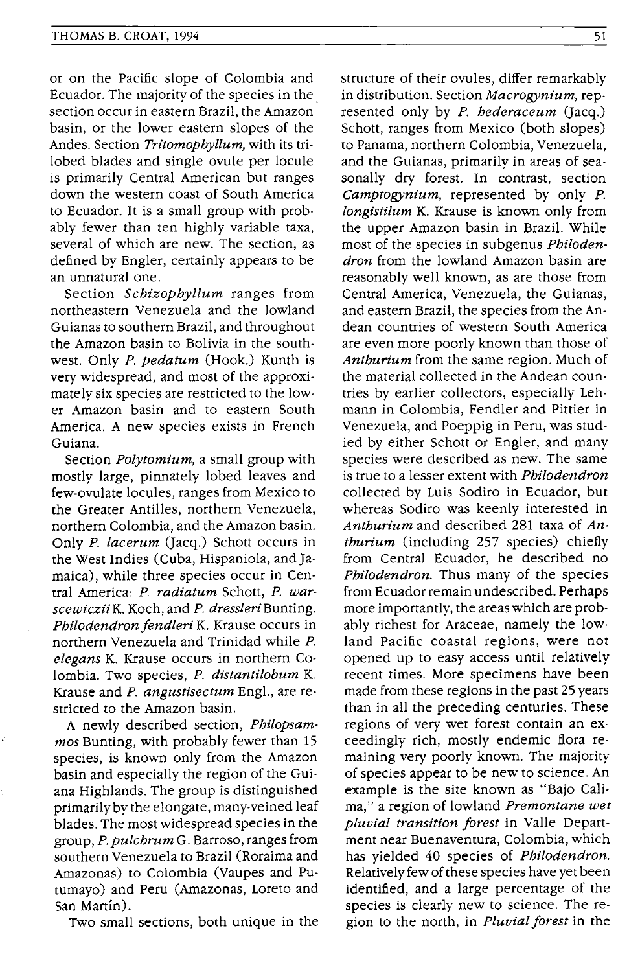or on the Pacific slope of Colombia and Ecuador. The majority of the species in the. section occur in eastern Brazil, the Amazon basin, or the lower eastern slopes of the Andes. Section *Trltomophyllum,* with its trilobed blades and single ovule per locule is primarily Central American but ranges down the western coast of South America to Ecuador. It is a small group with probably fewer than ten highly variable taxa, several of which are new. The section, as defined by Engler, certainly appears to be an unnatural one.

Section *Schizophyllum* ranges from northeastern Venezuela and the lowland Guianas to southern Brazil, and throughout the Amazon basin to Bolivia in the southwest. Only *P. pedatum* (Hook.) Kunth is very widespread, and most of the approximately six species are restricted to the lower Amazon basin and to eastern South America. A new species exists in French Guiana.

Section *Polytomium,* a small group with mostly large, pinnately lobed leaves and few-ovulate locules, ranges from Mexico to the Greater Antilles, northern Venezuela, northern Colombia, and the Amazon basin. Only *P. lacerum* (Jacq.) Schott occurs in the West Indies (Cuba, Hispaniola, and Jamaica), while three species occur in Central America: *P. radiatum* Schott, *P. warscewicziiK.* Koch, and *P. dressleriBunting. Philodendron fendleri* K. Krause occurs in northern Venezuela and Trinidad while *P. elegans* K. Krause occurs in northern Colombia. Two species, *P. distantilobum* K. Krause and *P. angustisectum* Engl., are restricted to the Amazon basin.

A newly described section, *Philopsammos* Bunting, with probably fewer than 15 species, is known only from the Amazon basin and especially the region of the Guiana Highlands. The group is distinguished primarily by the elongate, many-veined leaf blades. The most widespread species in the group, *P. pulchrum* G. Barroso, ranges from southern Venezuela to Brazil (Roraima and Amazonas) to Colombia (Vaupes and Putumayo) and Peru (Amazonas, Loreto and San Martin).

Two small sections, both unique in the

structure of their ovules, differ remarkably in distribution. Section *Macrogynium,* represented only by *P. hederaceum* (Jacq.) Schott, ranges from Mexico (both slopes) to Panama, northern Colombia, Venezuela, and the Guianas, primarily in areas of seasonally dry forest. In contrast, section *Camptogynium,* represented by only *P. longistilum* K. Krause is known only from the upper Amazon basin in Brazil. While most of the species in subgenus *Philodendron* from the lowland Amazon basin are reasonably well known, as are those from Central America, Venezuela, the Guianas, and eastern Brazil, the species from the Andean countries of western South America are even more poorly known than those of *Anthurlum* from the same region. Much of the material collected in the Andean countries by earlier collectors, especially Lehmann in Colombia, Fendler and Pittier in Venezuela, and Poeppig in Peru, was studied by either Schott or Engler, and many species were described as new. The same is true to a lesser extent with *Philodendron*  collected by Luis Sodiro in Ecuador, but whereas Sodiro was keenly interested in Anthurium and described 281 taxa of An*thurium* (including 257 species) chiefly from Central Ecuador, he described no *Philodendron.* Thus many of the species from Ecuador remain undescribed. Perhaps more importantly, the areas which are probably richest for Araceae, namely the lowland Pacific coastal regions, were not opened up to easy access until relatively recent times. More specimens have been made from these regions in the past 25 years than in all the preceding centuries. These regions of very wet forest contain an exceedingly rich, mostly endemic flora remaining very poorly known. The majority of species appear to be new to science. An example is the site known as "Bajo Calirna," a region of lowland *Premontane wet pluvial transition forest* in Valle Department near Buenaventura, Colombia, which has yielded 40 species of *Philodendron.*  Relatively few of these species have yet been identified, and a large percentage of the species is clearly new to science. The region to the north, in *Pluvial forest* in the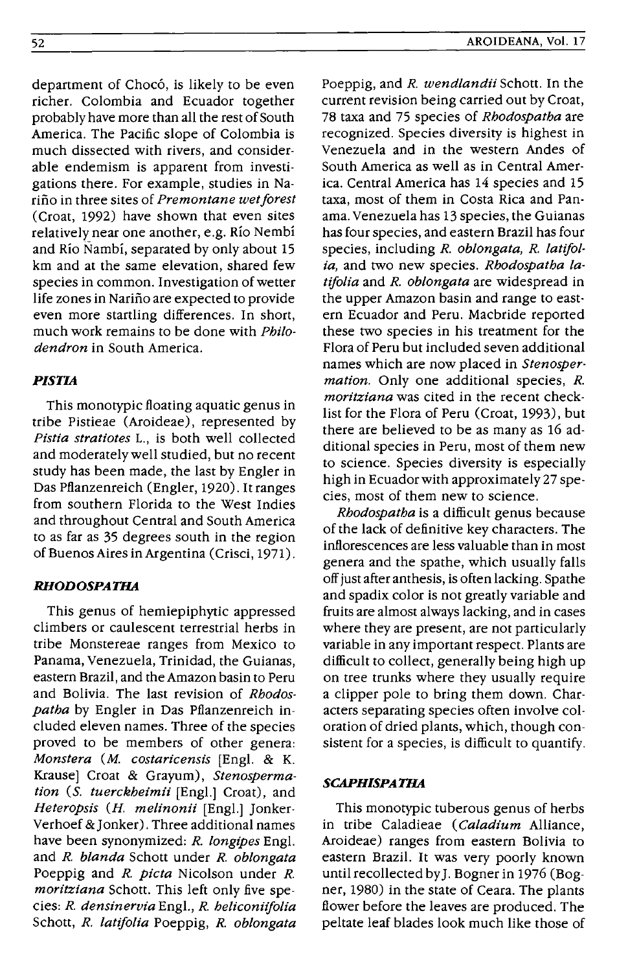department of Chocó, is likely to be even richer. Colombia and Ecuador together probably have more than all the rest of South America. The Pacific slope of Colombia is much dissected with rivers, and consider· able endemism is apparent from investi· gations there. For example, studies in Narino in three sites of *Premontane wet/orest*  (Croat, 1992) have shown that even sites relatively near one another, e.g. Rio Nembi and Rio Nambi, separated by only about 15 km and at the same elevation, shared few species in common. Investigation of wetter life zones in Narino are expected to provide even more startling differences. In short, much work remains to be done with *Philodendron* in South America.

## *PISTIA*

This monotypic floating aquatic genus in tribe Pistieae (Aroideae), represented by Pistia stratiotes L., is both well collected and moderately well studied, but no recent study has been made, the last by Engler in Das Pflanzenreich (Engler, 1920). It ranges from southern Florida to the West Indies and throughout Central and south America to as far as 35 degrees south in the region of Buenos Aires in Argentina (Crisci, 1971).

## *RHODOSPATHA*

This genus of hemiepiphytic appressed climbers or caulescent terrestrial herbs in tribe Monstereae ranges from Mexico to Panama, Venezuela, Trinidad, the Guianas, eastern Brazil, and the Amazon basin to Peru and Bolivia. The last revision of *Rhodospatha* by Engler in Das Pflanzenreich included eleven names. Three of the species proved to be members of other genera: *Monstera (M. eostarieensis* [Engl. & K. Krause] Croat & Grayum), *5tenospermation* (5. *tuerekheimii* [Engl.] Croat), and *Heteropsis* (H. *melinonii* [Engl.] Jonker· Verhoef & Jonker). Three additional names have been synonymized: *R. longipes* Engl. and *R. blanda* Schott under *R. oblongata*  Poeppig and *R. pieta* Nicolson under *R. moritziana* Schott. This left only five species: *R. densinervia* Engl., *R. belieonii/olia*  Schott, *R. lati/olia* Poeppig, *R. oblongata* 

Poeppig, and *R. wendlandii* Schott. In the current revision being carried out by Croat, 78 taxa and 75 species of *Rhodospatha* are recognized. Species diversity is highest in Venezuela and in the western Andes of South America as well as in Central America. Central America has 14 species and 15 taxa, most of them in Costa Rica and Panama. Venezuela has 13 species, the Guianas has four species, and eastern Brazil has four species, including *R. oblongata, R. lati/olia*, and two new species. *Rhodospatha lati/olia* and *R. oblongata* are widespread in the upper Amazon basin and range to eastern Ecuador and Peru. Macbride reported these two species in his treatment for the Flora of Peru but included seven additional names which are now placed in *5tenospermation.* Only one additional species, *R. moritziana* was cited in the recent checklist for the Flora of Peru (Croat, 1993), but there are believed to be as many as 16 additional species in Peru, most of them new to science. Species diversity is especially high in Ecuador with approximately 27 species, most of them new to science.

*Rhodospatha* is a difficult genus because of the lack of definitive key characters. The inflorescences are less valuable than in most genera and the spathe, which usually falls off just after anthesis, is often lacking. Spathe and spadix color is not greatly variable and fruits are almost always lacking, and in cases where they are present, are not particularly variable in any important respect. Plants are difficult to collect, generally being high up on tree trunks where they usually require a clipper pole to bring them down. Char· acters separating species often involve coloration of dried plants, which, though consistent for a species, is difficult to quantify.

#### *SCAPHISPATHA*

This monotypic tuberous genus of herbs in tribe Caladieae *(Caladium* Alliance, Aroideae) ranges from eastern Bolivia to eastern Brazil. It was very poorly known until recollected byJ. Bogner in 1976 (Bogner, 1980) in the state of Ceara. The plants flower before the leaves are produced. The peltate leaf blades look much like those of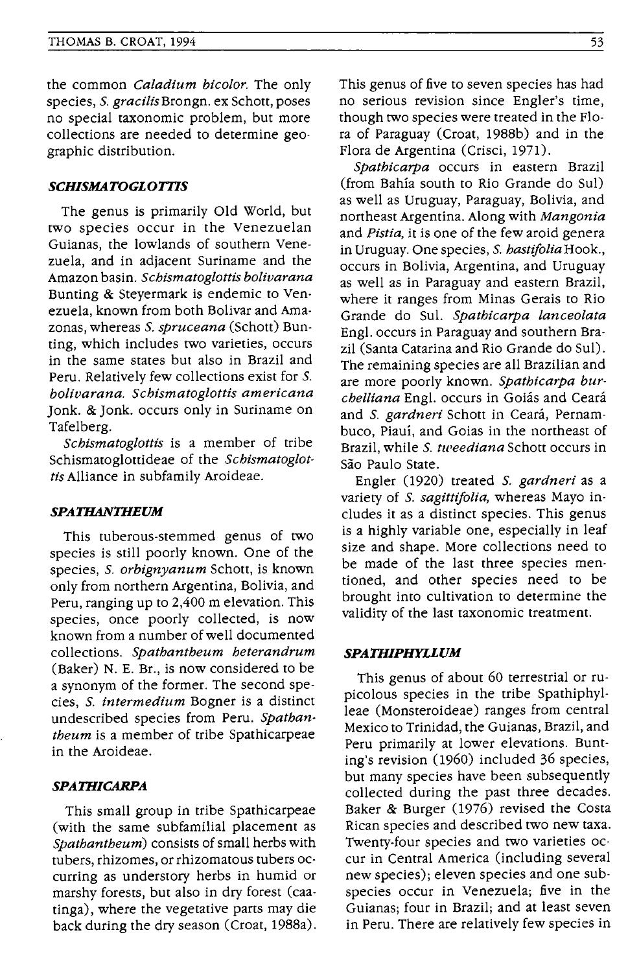the common *Caladium bicolor.* The only species, S. *gracilisBrongn.* ex Schott, poses no special taxonomic problem, but more collections are needed to determine geographic distribution.

## *SCHlSMATOGLOrnS*

The genus is primarily Old World, but two species occur in the Venezuelan Guianas, the lowlands of southern Venezuela, and in adjacent Suriname and the Amazon basin. *Schismatoglottis bolivarana*  Bunting & Steyermark is endemic to Venezuela, known from both Bolivar and Amazonas, whereas S. *spruceana* (Schott) Bunting, which includes two varieties, occurs in the same states but also in Brazil and Peru. Relatively few collections exist for S. *bolivarana. Schismatoglottis americana*  Jonk. & Jonk. occurs only in Suriname on Tafelberg.

*Schismatoglottis* is a member of tribe Schismatoglottideae of the *Schismatoglottis* Alliance in subfamily Aroideae.

#### *SPATHANTHBUM*

This tuberous-stemmed genus of two species is still poorly known. One of the species, S. *orbignyanum* Schott, is known only from northern Argentina, Bolivia, and Peru, ranging up to 2,400 m elevation. This species, once poorly collected, is now known from a number of well documented collections. *Spathantheum heterandrum*  (Baker) N. E. Br., is now considered to be a synonym of the former. The second species, S. *intermedium* Bogner is a distinct undescribed species from Peru. *Spathantheum* is a member of tribe Spathicarpeae in the Aroideae.

## *SPATHlCARPA*

This small group in tribe Spathicarpeae (with the same subfamilial placement as *Spathantheum)* consists of small herbs with tubers, rhizomes, or rhizomatous tubers occurring as understory herbs in humid or marshy forests, but also in dry forest (caatinga), where the vegetative parts may die back during the dry season (Croat, 1988a). This genus of five to seven species has had no serious revision since Engler's time, though two species were treated in the Flora of Paraguay (Croat, 1988b) and in the Flora de Argentina (Crisci, 1971).

*Spathicarpa* occurs in eastern Brazil (from Bahia south to Rio Grande do Sui) as well as Uruguay, Paraguay, Bolivia, and northeast Argentina. Along with *Mangonia*  and *Pistia,* it is one of the few aroid genera in Uruguay. One species, S. *hastijoliaHook.,*  occurs in Bolivia, Argentina, and Uruguay as well as in Paraguay and eastern Brazil, where it ranges from Minas Gerais to Rio Grande do Sul. *Spathicarpa lanceolata*  Engl. occurs in Paraguay and southern Brazil (Santa Catarina and Rio Grande do sui). The remaining species are all Brazilian and are more poorly known. *Spathicarpa burchelliana* Engl. occurs in Goias and Ceara and S. *gardneri* Schott in Ceara, Pernambuco, Piaui, and Goias in the northeast of Brazil, while S. *tweediana* Schott occurs in São Paulo State.

Engler (1920) treated S. *gardneri* as a variety of S. *sagittijolia,* whereas Mayo includes it as a distinct species. This genus is a highly variable one, especially in leaf size and shape. More collections need to be made of the last three species mentioned, and other species need to be brought into cultivation to determine the validity of the last taxonomic treatment.

#### *SPATHIPHYLLUM*

This genus of about 60 terrestrial or rupicolous species in the tribe Spathiphylleae (Monsteroideae) ranges from central Mexico to Trinidad, the Guianas, Brazil, and Peru primarily at lower elevations. Bunting's revision (1960) included 36 species, but many species have been subsequently collected during the past three decades. Baker & Burger (1976) revised the Costa Rican species and described two new taxa. Twenty-four species and two varieties occur in Central America (including several new species); eleven species and one subspecies occur in Venezuela; five in the Guianas; four in Brazil; and at least seven in Peru. There are relatively few species in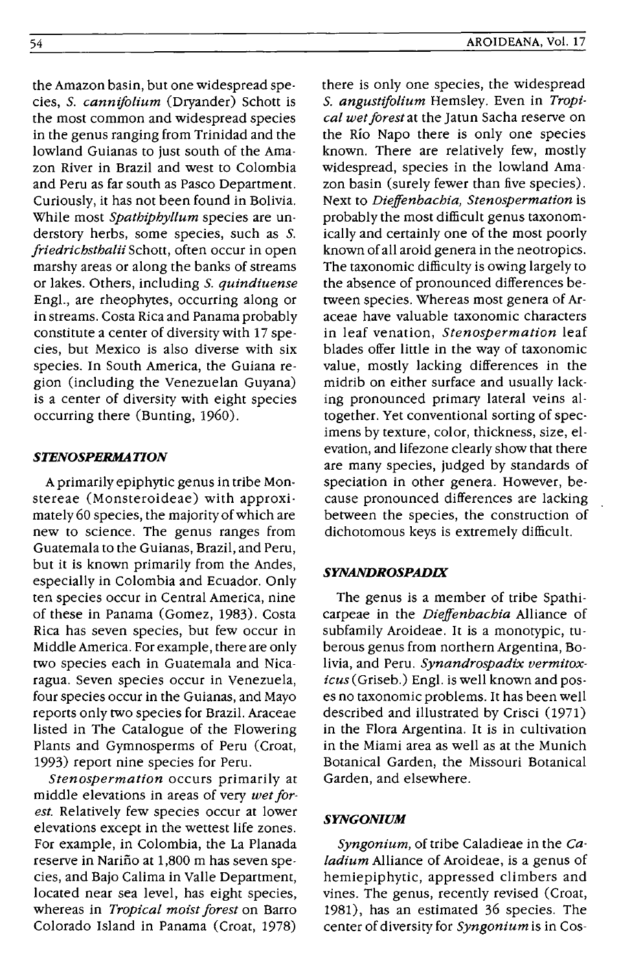the Amazon basin, but one widespread species, S. *cannifolium* (Dryander) Schott is the most common and widespread species in the genus ranging from Trinidad and the lowland Guianas to just south of the Amazon River in Brazil and west to Colombia and Peru as far south as Pasco Department. Curiously, it has not been found in Bolivia. While most *Spathiphyllum* species are understory herbs, some species, such as S. *friedrichsthalii* Schott, often occur in open marshy areas or along the banks of streams or lakes. Others, including S. *quindiuense*  Engl., are rheophytes, occurring along or in streams. Costa Rica and Panama probably constitute a center of diversity with 17 species, but Mexico is also diverse with six species. In South America, the Guiana region (including the Venezuelan Guyana) is a center of diversity with eight species occurring there (Bunting, 1960).

# *STENOSPERMATION*

A primarily epiphytic genus in tribe Monstereae (Monsteroideae) with approximately 60 species, the majority of which are new to science. The genus ranges from Guatemala to the Guianas, Brazil, and Peru, but it is known primarily from the Andes, especially in Colombia and Ecuador. Only ten species occur in Central America, nine of these in Panama (Gomez, 1983). Costa Rica has seven species, but few occur in Middle America. For example, there are only two species each in Guatemala and Nicaragua. Seven species occur in Venezuela, four species occur in the Guianas, and Mayo reports only two species for Brazil. Araceae listed in The Catalogue of the Flowering Plants and Gymnosperms of Peru (Croat, 1993) report nine species for Peru.

*Stenospermation* occurs primarily at middle elevations in areas of very *wet forest.* Relatively few species occur at lower elevations except in the wettest life zones. For example, in Colombia, the La Planada reserve in Narifio at 1,800 m has seven species, and Bajo Calima in Valle Department, located near sea level, has eight species, whereas in *Tropical moist forest* on Barro Colorado Island in Panama (Croat, 1978)

there is only one species, the widespread S. *angustifolium* Hemsley. Even in *Tropical wet forest* at the Jatun Sacha reserve on the Rio Napo there is only one species known. There are relatively few, mostly widespread, species in the lowland Amazon basin (surely fewer than five species). Next to *Dieffenbachia, Stenospermation* is probably the most difficult genus taxonomically and certainly one of the most poorly known of all aroid genera in the neotropics. The taxonomic difficulty is owing largely to the absence of pronounced differences between species. Whereas most genera of Araceae have valuable taxonomic characters in leaf venation, *Stenospermation* leaf blades offer little in the way of taxonomic value, mostly lacking differences in the midrib on either surface and usually lacking pronounced primary lateral veins altogether. Yet conventional sorting of specimens by texture, color, thickness, size, elevation, and lifezone clearly show that there are many species, judged by standards of speciation in other genera. However, because pronounced differences are lacking between the species, the construction of dichotomous keys is extremely difficult.

# *SYNANDROSPADIX*

The genus is a member of tribe Spathicarpeae in the *Dieffenbachia* Alliance of subfamily Aroideae. It is a monotypic, tuberous genus from northern Argentina, Bolivia, and Peru. *Synandrospadix vermitoxicus* (Griseb.) Engl. is well known and poses no taxonomic problems. It has been well described and illustrated by Crisci (1971) in the Flora Argentina. It is in cultivation in the Miami area as well as at the Munich Botanical Garden, the Missouri Botanical Garden, and elsewhere.

## *SYNGONIUM*

*Syngonium,* of tribe Caladieae in the *Caladium* Alliance of Aroideae, is a genus of hemiepiphytic, appressed climbers and vines. The genus, recently revised (Croat, 1981), has an estimated 36 species. The center of diversity for *Syngonium* is in Cos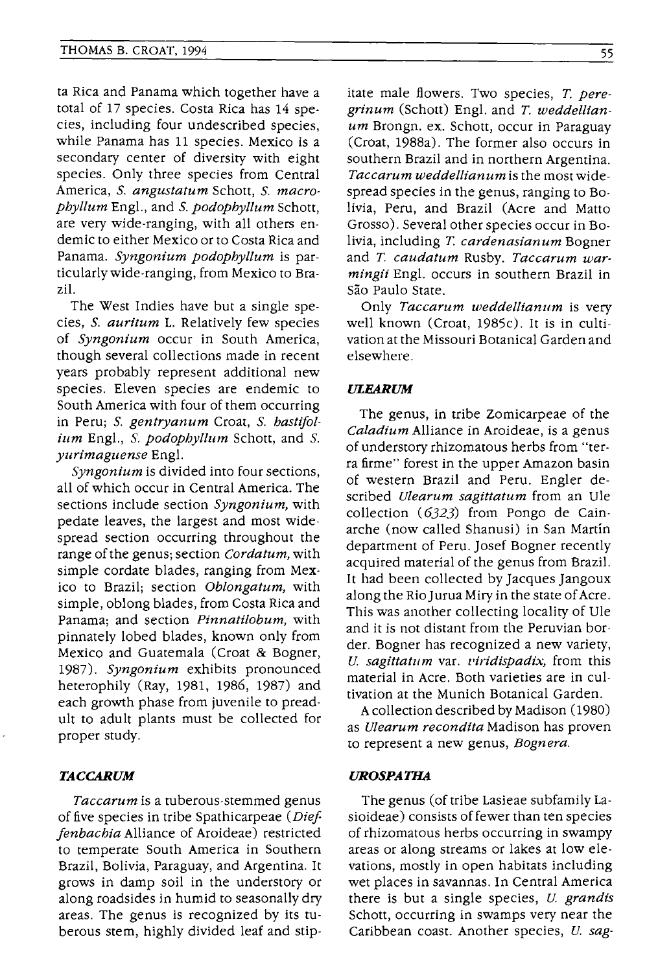ta Rica and Panama which together have a total of 17 species. Costa Rica has 14 species, including four undescribed species, while Panama has 11 species. Mexico is a secondary center of diversity with eight species. Only three species from Central America, S. *angustatum* Schott, S. *macrophyllum* Engl., and S. *podophyllum* Schott, are very wide-ranging, with all others endemic to either Mexico or to Costa Rica and Panama. *Syngonium podophyllum* is particularlywide-ranging, from Mexico to Brazil.

The West Indies have but a single species, S. *auritum* L. Relatively few species of *Syngonium* occur in South America, though several collections made in recent years probably represent additional new species. Eleven species are endemic to South America with four of them occurring in Peru; S. *gentryanum* Croat, S. *hastifolium* Engl., S. *podopbyllum* Schott, and S. *yurimaguense* Engl.

*Syngonium* is divided into four sections, all of which occur in Central America. The sections include section *Syngonium,* with pedate leaves, the largest and most widespread section occurring throughout the range ofthe genus; section *Cordatum,* with simple cordate blades, ranging from Mexico to Brazil; section *Oblongatum,* with simple, oblong blades, from Costa Rica and Panama; and section *Pinnatilobum,* with pinnately lobed blades, known only from Mexico and Guatemala (Croat & Bogner, 1987). *Syngonium* exhibits pronounced heterophily (Ray, 1981, 1986, 1987) and each growth phase from juvenile to preadult to adult plants must be collected for proper study.

## *TACCARUM*

*Taccarum* is a tuberous-stemmed genus of five species in tribe Spathicarpeae *(Die! jenbachia* Alliance of Aroideae) restricted to temperate South America in Southern Brazil, Bolivia, Paraguay, and Argentina. It grows in damp soil in the understory or along roadsides in humid to seasonally dry areas. The genus is recognized by its tuberous stem, highly divided leaf and stipitate male flowers. Two species, T. peregrinum (Schott) Engl. and *T. weddellian* $um$  Brongn. ex. Schott, occur in Paraguay (Croat, 1988a). The former also occurs in southern Brazil and in northern Argentina. *Taccarum weddellianum* is the most widespread species in the genus, ranging to Bolivia, Peru, and Brazil (Acre and Matto Grosso). Several other species occur in Bolivia, including T. cardenasianum Bogner and T. caudatum Rusby. Taccarum war*mingii* Engl. occurs in southern Brazil in São Paulo State.

Only *Taccarum weddellianum* is very well known (Croat, 1985c). It is in cultivation at the Missouri Botanical Garden and elsewhere.

#### *ULEARUM*

The genus, in tribe Zomicarpeae of the *Caladium* Alliance in Aroideae, is a genus of understory rhizomatous herbs from "terra firme" forest in the upper Amazon basin of western Brazil and Peru. Engler described *Ulearum sagittatum* from an Ule collection (6323) from Pongo de Cainarche (now called Shanusi) in San Martin department of Peru. Josef Bogner recently acquired material of the genus from Brazil. It had been collected by Jacques Jangoux along the Rio Jurua Miry in the state of Acre. This was another collecting locality of Ule and it is not distant from the Peruvian border. Bogner has recognized a new variety, *U. sagittatum var. viridispadix*, from this material in Acre. Both varieties are in cultivation at the Munich Botanical Garden.

A collection described by Madison (1980) as *Ulearum recondita* Madison has proven to represent a new genus, *Bognera.* 

## **UROSPATHA**

The genus (of tribe Lasieae subfamily Lasioideae) consists of fewer than ten species of rhizomatous herbs occurring in swampy areas or along streams or lakes at low elevations, mostly in open habitats including wet places in savannas. In Central America there is but a single species, *U grandis*  Schott, occurring in swamps very near the Caribbean coast. Another species, *U. sag-*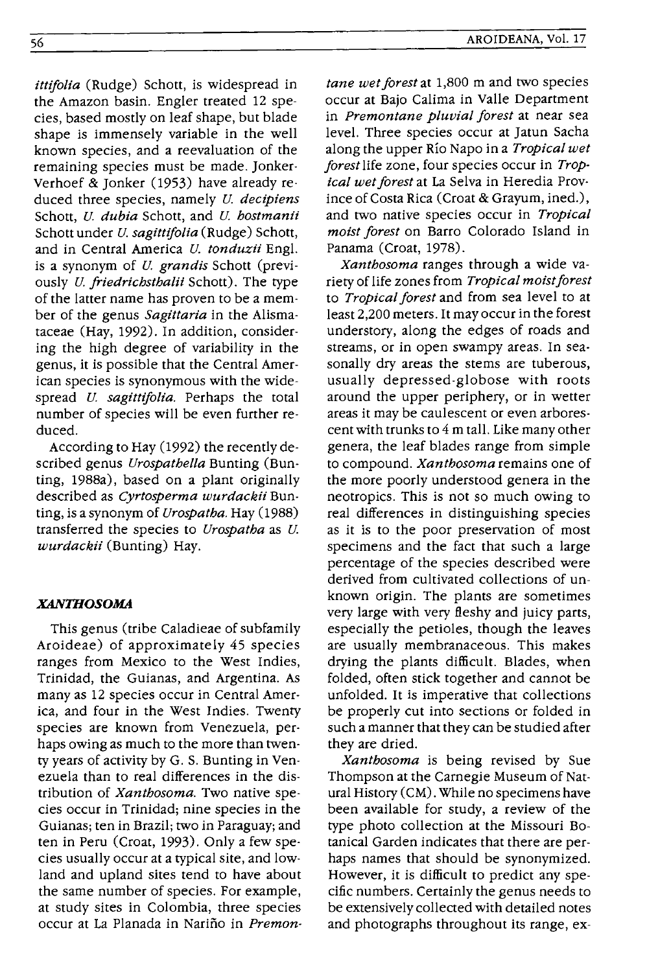*ittifolia* (Rudge) Schott, is widespread in the Amazon basin. Engler treated 12 species, based mostly on leaf shape, but blade shape is immensely variable in the well known species, and a reevaluation of the remaining species must be made. Jonker· Verhoef & Jonker (1953) have already reduced three species, namely *U. decipiens*  Schott, *U. dubia* Schott, and *U. hostmanii*  Schott under *u. sagittifolia* (Rudge) Schott, and in Central America *U. tonduzii* Engl. is a synonym of *u. grandis* Schott (previously *U. friedrichsthalii* Schott). The type of the latter name has proven to be a member of the genus *Sagittaria* in the Alismataceae (Hay, 1992). In addition, considering the high degree of variability in the genus, it is possible that the Central American species is synonymous with the widespread *U. sagittifolia.* Perhaps the total number of species will be even further reduced.

According to Hay (1992) the recently described genus *Urospathella* Bunting (Bunting, 1988a), based on a plant originally described as *Cyrtosperma wurdackii* Bunting, is a synonym of *Urospatha.* Hay (1988) transferred the species to *Urospatha* as *U. wurdackii* (Bunting) Hay.

## **XANTHOSOMA**

This genus (tribe Caladieae of subfamily Aroideae) of approximately 45 species ranges from Mexico to the West Indies, Trinidad, the Guianas, and Argentina. As many as 12 species occur in Central America, and four in the West Indies. Twenty species are known from Venezuela, perhaps owing as much to the more than twenty years of activity by G. S. Bunting in Venezuela than to real differences in the distribution of *Xanthosoma.* Two native species occur in Trinidad; nine species in the Guianas; ten in Brazil; two in Paraguay; and ten in Peru (Croat, 1993). Only a few species usually occur at a typical site, and lowland and upland sites tend to have about the same number of species. For example, at study sites in Colombia, three species occur at La Planada in Narino in *Premon-*

*tane wet forest* at 1,800 m and two species occur at Bajo Calima in Valle Department in *Premontane pluvial forest* at near sea level. Three species occur at Jatun Sacha along the upper Rio Napo in a *Tropical wet forest* life zone, four species occur in *Tropical wet forest* at La Selva in Heredia Province of Costa Rica (Croat & Grayum, ined.), and two native species occur in *Tropical moist forest* on Barro Colorado Island in Panama (Croat, 1978).

*Xanthosoma* ranges through a wide variety of life zones from *Tropical moist forest*  to *Tropical forest* and from sea level to at least 2,200 meters. It may occur in the forest understory, along the edges of roads and streams, or in open swampy areas. In seasonally dry areas the stems are tuberous, usually depressed-globose with roots around the upper periphery, or in wetter areas it may be caulescent or even arborescent with trunks to 4 m tall. Like many other genera, the leaf blades range from simple to compound. *Xanthosoma* remains one of the more poorly understood genera in the neotropics. This is not so much owing to real differences in distinguishing species as it is to the poor preservation of most specimens and the fact that such a large percentage of the species described were derived from cultivated collections of unknown origin. The plants are sometimes very large with very fleshy and juicy parts, especially the petioles, though the leaves are usually membranaceous. This makes drying the plants difficult. Blades, when folded, often stick together and cannot be unfolded. It is imperative that collections be properly cut into sections or folded in such a manner that they can be studied after they are dried.

*Xanthosoma* is being revised by Sue Thompson at the Carnegie Museum of Natural History (CM). While no specimens have been available for study, a review of the type photo collection at the Missouri Botanical Garden indicates that there are perhaps names that should be synonymized. However, it is difficult to predict any specific numbers. Certainly the genus needs to be extensively collected with detailed notes and photographs throughout its range, ex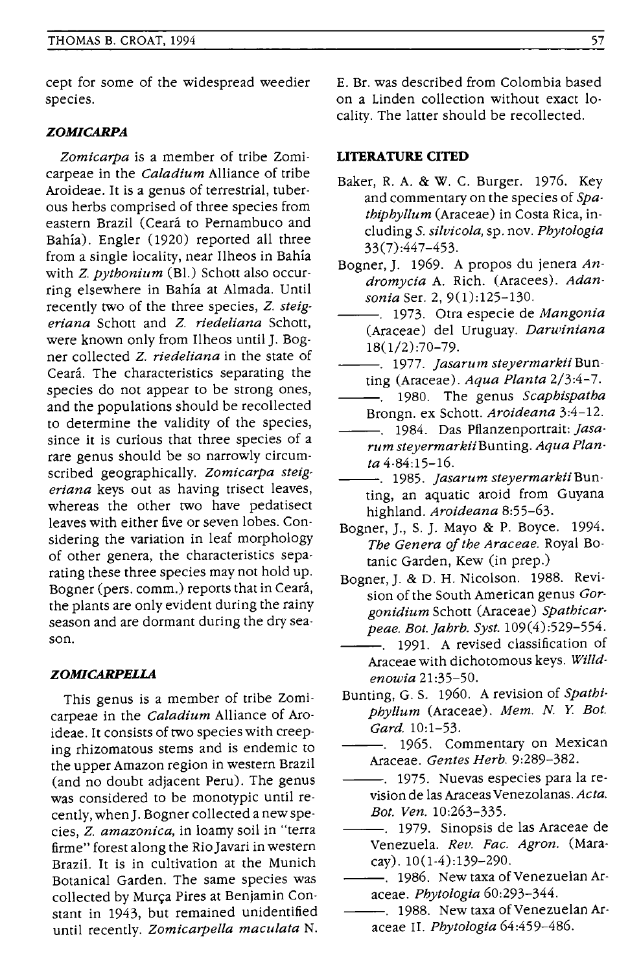cept for some of the widespread weedier species.

## *ZOMICARPA*

*Zomicarpa* is a member of tribe Zomicarpeae in the *Caladium* Alliance of tribe Aroideae. It is a genus of terrestrial, tuberous herbs comprised of three species from eastern Brazil (Ceará to Pernambuco and Bahía). Engler (1920) reported all three from a single locality, near Ilheos in Bahia with *Z. pythonium* (BI.) Schott also occurring elsewhere in Bahia at Almada. Until recently two of the three species, *Z. steigeriana* Schott and *Z. riedeliana* Schott, were known only from Ilheos until J. Bogner collected *Z. riedeliana* in the state of Ceará. The characteristics separating the species do not appear to be strong ones, and the populations should be recollected to determine the validity of the species, since it is curious that three species of a rare genus should be so narrowly circumscribed geographically. *Zomicarpa steigeriana* keys out as having trisect leaves, whereas the other two have pedatisect leaves with either five or seven lobes. Considering the variation in leaf morphology of other genera, the characteristics separating these three species may not hold up. Bogner (pers. comm.) reports that in Ceara, the plants are only evident during the rainy season and are dormant during the dry season.

### *ZOMICARPELLA*

This genus is a member of tribe Zomicarpeae in the *Caladium* Alliance of Aroideae. It consists of two species with creeping rhizomatous stems and is endemic to the upper Amazon region in western Brazil (and no doubt adjacent Peru). The genus was considered to be monotypic until recently, when]. Bogner collected a new species, *Z. amazonica,* in loamy soil in "terra firme" forest along the Rio Javari in western Brazil. It is in cultivation at the Munich Botanical Garden. The same species was collected by Murça Pires at Benjamin Constant in 1943, but remained unidentified until recently. *Zomicarpella maculata* N.

E. Br. was described from Colombia based on a Linden collection without exact locality. The latter should be recollected.

#### **LITERATURE CITED**

- Baker, R. A. & W. C. Burger. 1976. Key and commentary on the species of *Spathiphyllum* (Araceae) in Costa Rica, including S. *silvicola,* sp. nov. *Phylologia*  33(7):447-453.
- Bogner, J. 1969. A propos du jenera *Andromycia* A. Rich. (Aracees). *Adansonia* Ser. 2, 9(1):125-130.
- ---. 1973. Otra especie de *Mangonia*  (Araceae) del Uruguay. *Darwiniana*  18(1/2):70-79.
- ---. 1977. *jasarum steyermarkiiBun-*
- ting (Araceae). *Aqua Planta 2/3:4-7.*
- ---. 1980. The genus *Scaphispatha*  Brongn. ex Schott. *Aroideana 3:4-12.*
- ---. 1984. Das Pflanzenportrait: *jasarum steyermarkiiBunting. Aqua Planta 4-84:15-16.*
- ---. 1985. *jasarum steyermarkiiBun*ting, an aquatic aroid from Guyana highland. *Aroideana 8:55-63.*
- Bogner, J., S. J. Mayo & P. Boyce. 1994. *The Genera of the Araceae.* Royal Botanic Garden, Kew (in prep.)
- Bogner, J. & D. H. Nicolson. 1988. Revision of the South American genus *Gorgonidium* Schott (Araceae) *Spathicarpeae. Bot.jahrb. Syst. 109(4):529-554.*
- -. 1991. A revised classification of Araceae with dichotomous keys. *Wi/ldenowia 21:35-50.*
- Bunting, G. S. 1960. A revision of *Spathiphyllum* (Araceae). *Mem. N. Y. Bot. Gard. 10:1-53.* 
	- $-$ . 1965. Commentary on Mexican Araceae. *Gentes Herb. 9:289-382.*
- -. 1975. Nuevas especies para la revision de las Araceas Venezolanas. *Acta. Bot. Yen. 10:263-335.*
- -. 1979. Sinopsis de las Araceae de Venezuela. *Rev. Fac. Agron.* (Maracay). 10(1-4):139-290.
- -. 1986. New taxa of Venezuelan Araceae. *Phytologia 60:293-344.*
- -. 1988. New taxa of Venezuelan Araceae II. Phytologia 64:459-486.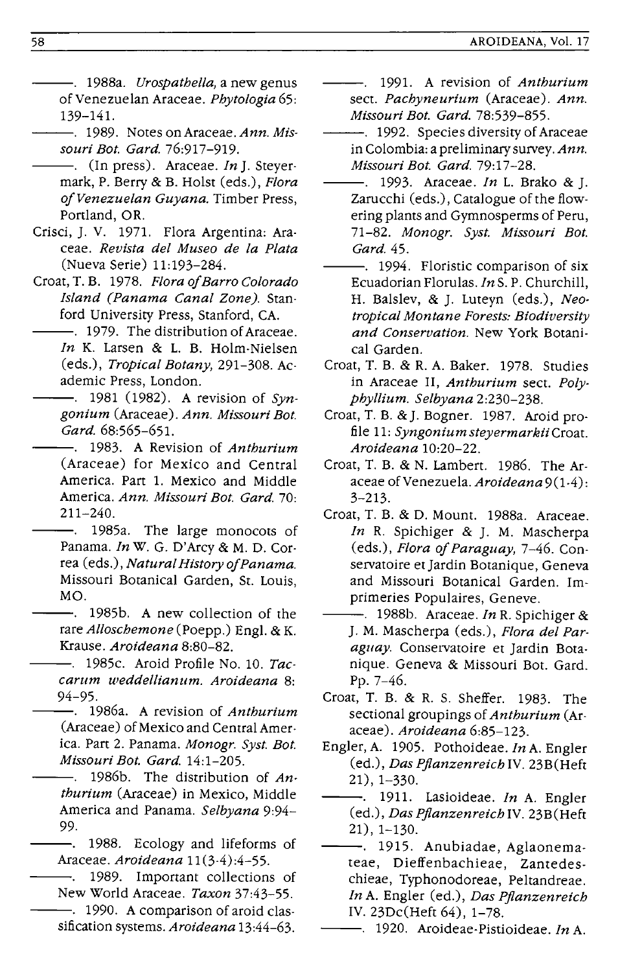- ---. 1988a. *Urospathella,* a new genus of Venezuelan Araceae. *Phytologia 65:*  139-141.
	- ---. 1989. Notes on Araceae. *Ann. Mis· souri Bot. Gard. 76:917-919.*
- ---. (In press). Araceae. *In].* Steyermark, P. Berry & B. Holst (eds.), *Flora o/Venezuelan Guyana.* Timber Press, Portland, OR.
- Crisci, J. V. 1971. Flora Argentina: Araceae. *Revista del Museo de la Plata*  (Nueva Serie) 11:193-284.
- Croat, T. B. 1978. *Flora o/Barro Colorado Island (Panama Canal Zone).* Stanford University Press, Stanford, CA.
- -. 1979. The distribution of Araceae. *In* K. Larsen & L. B. Holm-Nielsen (eds.), *Tropical Botany,* 291-308. Academic Press, London.
	- 1981 (1982). A revision of *Syngonium* (Araceae). *Ann. Missouri Bot. Gard.68:565-651.*
- ---. 1983. A Revision of *Anthurium*  (Araceae) for Mexico and Central America. Part 1. Mexico and Middle America. *Ann. Missouri Bot. Gard. 70:*  211-240.
- -. 1985a. The large monocots of Panama. *In* W. G. D'Arcy & M. D. Correa (eds.), *NaturaIHistoryo/Panama.*  Missouri Botanical Garden, St. Louis, MO.
- ---. 1985b. A new collection of the rare *Alloschemone* (Poepp.) Engl. & K. Krause. *Aroideana 8:80-82.* 
	- ---. 1985c. Aroid Profile No. 10. *Taccarum weddellianum. Aroideana 8:*  94-95.<br>—-. 1986a. A revision of *Anthurium*
- (Araceae) of Mexico and Central America. Part 2. Panama. *Monogr. Syst. Bot. Missouri Bot. Gard. 14:1-205.*
- 1986b. The distribution of *Anthurium* (Araceae) in Mexico, Middle America and Panama. *Selbyana 9:94-* 99.
	- --. 1988. Ecology and lifeforms of Araceae. *Aroideana 11(3-4):4-55.*
- 1989. Important collections of New World Araceae. *Taxon 37:43-55.*  -. 1990. A comparison of aroid clas
	- sification systems. *Aroideana 13:44-63.*
- 1991. A revision of *Anthurium*  sect. *Pachyneurium* (Araceae). *Ann. Missouri Bot. Gard.78:539-855.*
- --. 1992. Species diversity of Araceae in Colombia: a preliminary survey. *Ann. Missouri Bot. Gard. 79:17-28.*
- --. 1993. Araceae. *In* L. Brako &]. Zarucchi (eds.), Catalogue of the flowering plants and Gymnosperms of Peru, *71-82. Monogr. Syst. Missouri Bot. Gard.45.*
- --. 1994. Floristic comparison of six Ecuadorian Florulas. *In* S. P. Churchill, H. Balslev, & J. Luteyn (eds.), *Neotropical Montane Forests: Biodiversity and Conservation.* New York Botanical Garden.
- Croat, T. B. & R. A. Baker. 1978. Studies in Araceae II, *Anthurium* sect. *Polyphyllium. Selbyana 2:230-238.*
- Croat, T. B. &J. Bogner. 1987. Aroid profile 11: *Syngonium steyermarkii* Croat. *Aroideana 10:20-22.*
- Croat, T. B. & N. Lambert. 1986. The Araceae of Venezuela. *Aroideana* 9(1.4): 3-213.
- Croat, T. B. & D. Mount. 1988a. Araceae. *In* R. Spichiger & ]. M. Mascherpa (eds.), *Flora* 0/ *Paraguay,* 7-46. Conservatoire et Jardin Botanique, Geneva and Missouri Botanical Garden. Imprimeries Populaires, Geneve.
- ---. 1988b. *Araceae.ln* R. Spichiger & J. M. Mascherpa (eds.), *Flora del Paraguay.* Conservatoire et Jardin Botanique. Geneva & Missouri Bot. Gard. Pp.7-46.
- Croat, T. B. & R. S. Sheffer. 1983. The sectional groupings of *Anthurium* (Araceae). *Aroideana 6:85-123.*
- Engler, A. 1905. Pothoideae.  $In A.$  Engler (ed.), *Das Pjlanzenreich* IV. 23B (Heft 21), 1-330.
- --. 1911. Lasioideae. *In* A. Engler (ed.), *Das Pjlanzenreich* IV. 23B(Heft 21), 1-130.
- --. 1915. Anubiadae, Aglaonemateae, Dieffenbachieae, Zantedeschieae, Typhonodoreae, Peltandreae. *In* A. Engler (ed.), *Das Pjlanzenreich*  IV. 23Dc(Heft 64), 1-78.
	- --. 1920. Aroideae-Pistioideae. *In* A.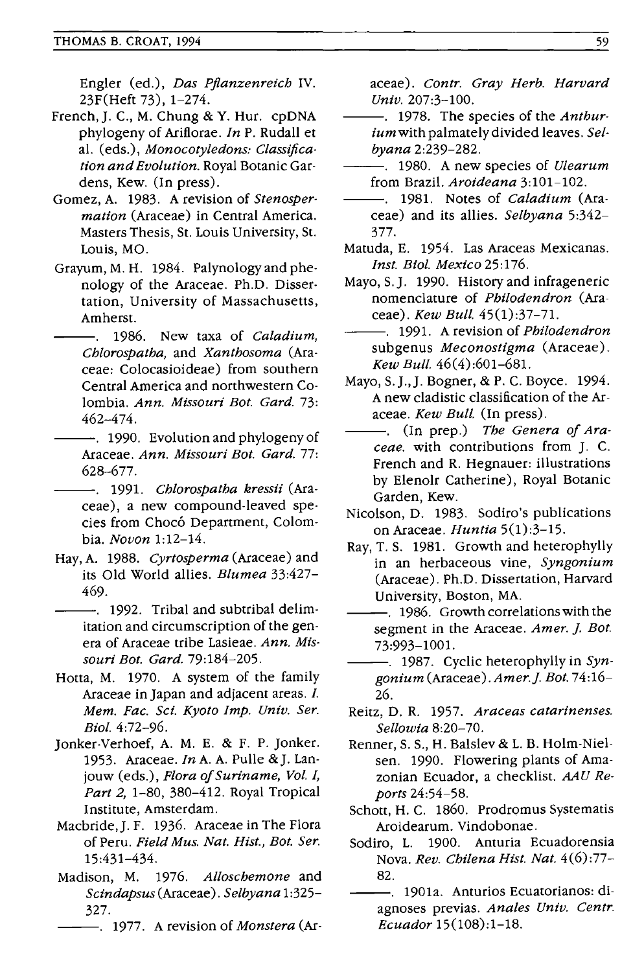Engler (ed.), *Das Pjlanzenreich* IV. 23F(Heft 73), 1-274.

- French, J. C., M. Chung & Y. Hur. cpDNA phylogeny of Ariflorae. *In* P. Rudall et al. (eds.), *Monocotyledons: Classifica· tion and Evolution.* Royal Botanic Gar· dens, Kew. (In press).
- Gomez, A. 1983. A revision of *Stenospermation* (Araceae) in Central America. Masters Thesis, St. Louis University, St. Louis, MO.
- Grayum, M. H. 1984. Palynology and phenology of the Araceae. Ph.D. Dissertation, University of Massachusetts, Amherst.
- 1986. New taxa of *Caladium,*   $\overline{a}$ *Chlorospatha,* and *Xanthosoma* (Araceae: Colocasioideae) from southern Central America and northwestern Colombia. *Ann. Missouri Bot. Gard. 73:*  462-474.
- --. 1990. Evolution and phylogeny of Araceae. *Ann. Missouri Bot. Gard. 77:*  628-677.
- --. 1991. *Chlorospatha kressii* (Araceae) , a new compound-leaved species from Chocó Department, Colombia. *Novon 1:12-14.*
- Hay, A. 1988. *Cyrtosperma* (Araceae) and its Old World allies. *Blumea 33:427-* 469.
- --. 1992. Tribal and subtribal delimitation and circumscription of the genera of Araceae tribe Lasieae. *Ann. Missouri Bot. Gard. 79:184-205.*
- Hotta, M. 1970. A system of the family Araceae in Japan and adjacent areas. *I. Mem. Fac. Sci. Kyoto Imp. Univ. Ser. Bio!. 4:72-96.*
- Jonker-Verhoef, A. M. E. & F. P. Jonker. 1953. Araceae. *In* A. A. Pulle &J. Lanjouw (eds.), *Flora of Suriname*, *Vol. I*, *Part* 2, 1-80, 380-412. Royal Tropical Institute, Amsterdam.
- Macbride,J. F. 1936. Araceae in The Flora of Peru. *Field Mus. Nat. Hist., Bot. Ser.*  15:431-434.
- Madison, M. 1976. *Alloschemone* and *Scindapsus* (Araceae). S *elbyana* 1: 325- 327.
	- ---. 1977. A revision of *Monstera* (Ar-

aceae). *Contr. Gray Herb. Harvard Univ. 207:3-100.* 

- ---. 1978. The species of the *Anthuriumwith* palmately divided leaves. *Selbyana 2:239-282.*
- ---. 1980. A new species of *Ulearum*  from Brazil. *Aroideana 3:101-102.*
- --. 1981. Notes of *Caladium* (Araceae) and its allies. *Selbyana 5:342-* 377.
- Matuda, E. 1954. Las Araceas Mexicanas. *Inst. Biol. Mexico 25:176.*
- Mayo, S. J. 1990. History and infrageneric nomenclature of *Philodendron* (Araceae). *Kew Bull. 45(1):37-71.*
- ---. 1991. A revision of *Philodendron*  subgenus *Meconostigma* (Araceae). *Kew Bull. 46(4):601-681.*
- Mayo, S.J.,]. Bogner, & P. C. Boyce. 1994. A new cladistic classification of the Araceae. *Kew Bull.* (In press).
- -. (In prep.) The Genera of Ara*ceae.* with contributions from J. C. French and R. Hegnauer: illustrations by Elenolr Catherine), Royal Botanic Garden, Kew.
- Nicolson, D. 1983. Sodiro's publications on Araceae. *Huntia 5(1):3-15.*
- Ray, T. S. 1981. Growth and heterophylly in an herbaceous vine, *Syngonium*  (Araceae). Ph.D. Dissertation, Harvard University, Boston, MA.
- ---. 1986. Growth correlations with the segment in the Araceae. *Amer.* ]. *Bot.*  73:993-1001.
	- --. 1987. Cyclic heterophylly in *Syngonium* (Araceae). *Amer.]. Bot. 74:16-* 26.
- Reitz, D. R. 1957. *Araceas catarinenses. Sellowia 8:20-70.*
- Renner, S. 5., H. Balslev & L. B. Holm-Nielsen. 1990. Flowering plants of Amazonian Ecuador, a checklist. AAU *Reports 24:54-58.*
- Schott, H. c. 1860. Prodromus Systematis Aroidearum. Vindobonae.
- Sodiro, L. 1900. Anturia Ecuadorensia Nova. *Rev. Chilena Hist. Nat. 4(6):77-* 82.
- ---. 1901a. Anturios Ecuatorianos: diagnoses previas. Anales Univ. Centr. *Ecuador 15(108):1-18.*